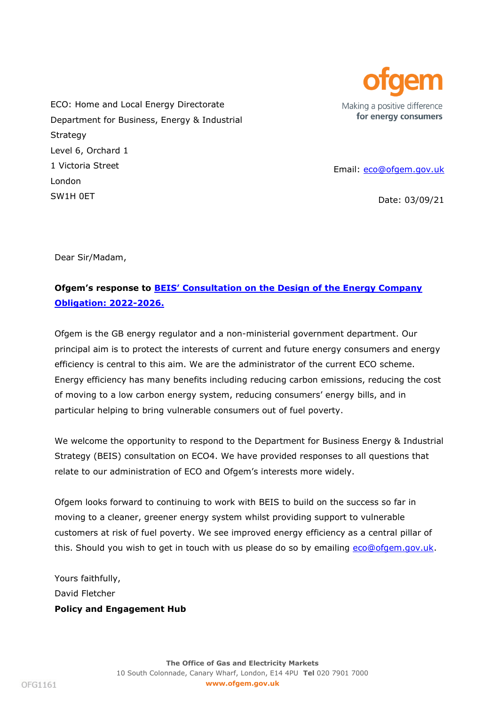

ECO: Home and Local Energy Directorate Department for Business, Energy & Industrial Strategy Level 6, Orchard 1 1 Victoria Street London SW1H 0ET

Email: [eco@ofgem.gov.uk](mailto:eco@ofgem.gov.uk)

Date: 03/09/21

Dear Sir/Madam,

## **Ofgem's response to BEIS' Consultation on the [Design of the Energy Company](https://www.gov.uk/government/consultations/design-of-the-energy-company-obligation-eco4-2022-2026)  [Obligation: 2022-2026.](https://www.gov.uk/government/consultations/design-of-the-energy-company-obligation-eco4-2022-2026)**

Ofgem is the GB energy regulator and a non-ministerial government department. Our principal aim is to protect the interests of current and future energy consumers and energy efficiency is central to this aim. We are the administrator of the current ECO scheme. Energy efficiency has many benefits including reducing carbon emissions, reducing the cost of moving to a low carbon energy system, reducing consumers' energy bills, and in particular helping to bring vulnerable consumers out of fuel poverty.

We welcome the opportunity to respond to the Department for Business Energy & Industrial Strategy (BEIS) consultation on ECO4. We have provided responses to all questions that relate to our administration of ECO and Ofgem's interests more widely.

Ofgem looks forward to continuing to work with BEIS to build on the success so far in moving to a cleaner, greener energy system whilst providing support to vulnerable customers at risk of fuel poverty. We see improved energy efficiency as a central pillar of this. Should you wish to get in touch with us please do so by emailing [eco@ofgem.gov.uk.](mailto:eco@ofgem.gov.uk)

Yours faithfully, David Fletcher **Policy and Engagement Hub**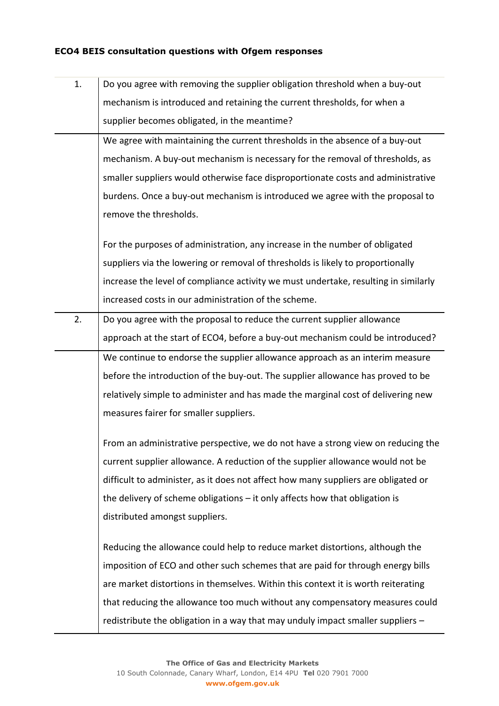## **ECO4 BEIS consultation questions with Ofgem responses**

| 1. | Do you agree with removing the supplier obligation threshold when a buy-out         |
|----|-------------------------------------------------------------------------------------|
|    | mechanism is introduced and retaining the current thresholds, for when a            |
|    | supplier becomes obligated, in the meantime?                                        |
|    | We agree with maintaining the current thresholds in the absence of a buy-out        |
|    | mechanism. A buy-out mechanism is necessary for the removal of thresholds, as       |
|    | smaller suppliers would otherwise face disproportionate costs and administrative    |
|    | burdens. Once a buy-out mechanism is introduced we agree with the proposal to       |
|    | remove the thresholds.                                                              |
|    | For the purposes of administration, any increase in the number of obligated         |
|    | suppliers via the lowering or removal of thresholds is likely to proportionally     |
|    | increase the level of compliance activity we must undertake, resulting in similarly |
|    | increased costs in our administration of the scheme.                                |
| 2. | Do you agree with the proposal to reduce the current supplier allowance             |
|    | approach at the start of ECO4, before a buy-out mechanism could be introduced?      |
|    | We continue to endorse the supplier allowance approach as an interim measure        |
|    | before the introduction of the buy-out. The supplier allowance has proved to be     |
|    | relatively simple to administer and has made the marginal cost of delivering new    |
|    | measures fairer for smaller suppliers.                                              |
|    | From an administrative perspective, we do not have a strong view on reducing the    |
|    | current supplier allowance. A reduction of the supplier allowance would not be      |
|    | difficult to administer, as it does not affect how many suppliers are obligated or  |
|    | the delivery of scheme obligations $-$ it only affects how that obligation is       |
|    | distributed amongst suppliers.                                                      |
|    | Reducing the allowance could help to reduce market distortions, although the        |
|    | imposition of ECO and other such schemes that are paid for through energy bills     |
|    | are market distortions in themselves. Within this context it is worth reiterating   |
|    | that reducing the allowance too much without any compensatory measures could        |
|    | redistribute the obligation in a way that may unduly impact smaller suppliers -     |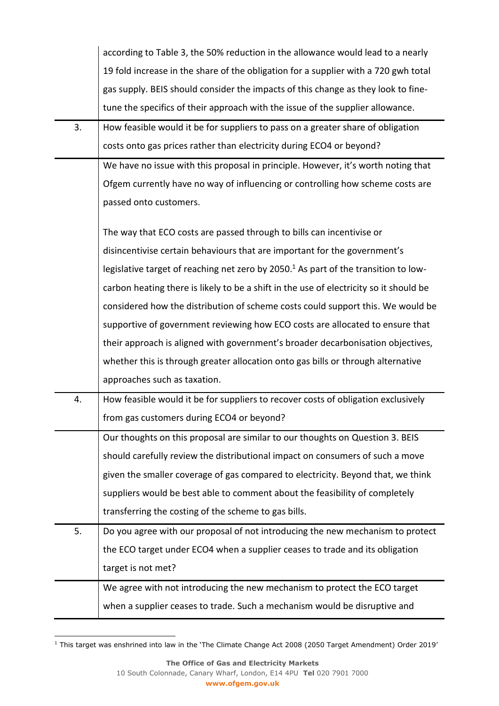|    | according to Table 3, the 50% reduction in the allowance would lead to a nearly                 |
|----|-------------------------------------------------------------------------------------------------|
|    | 19 fold increase in the share of the obligation for a supplier with a 720 gwh total             |
|    | gas supply. BEIS should consider the impacts of this change as they look to fine-               |
|    | tune the specifics of their approach with the issue of the supplier allowance.                  |
| 3. | How feasible would it be for suppliers to pass on a greater share of obligation                 |
|    | costs onto gas prices rather than electricity during ECO4 or beyond?                            |
|    | We have no issue with this proposal in principle. However, it's worth noting that               |
|    | Ofgem currently have no way of influencing or controlling how scheme costs are                  |
|    | passed onto customers.                                                                          |
|    | The way that ECO costs are passed through to bills can incentivise or                           |
|    | disincentivise certain behaviours that are important for the government's                       |
|    | legislative target of reaching net zero by 2050. <sup>1</sup> As part of the transition to low- |
|    | carbon heating there is likely to be a shift in the use of electricity so it should be          |
|    | considered how the distribution of scheme costs could support this. We would be                 |
|    | supportive of government reviewing how ECO costs are allocated to ensure that                   |
|    | their approach is aligned with government's broader decarbonisation objectives,                 |
|    | whether this is through greater allocation onto gas bills or through alternative                |
|    | approaches such as taxation.                                                                    |
| 4. | How feasible would it be for suppliers to recover costs of obligation exclusively               |
|    | from gas customers during ECO4 or beyond?                                                       |
|    | Our thoughts on this proposal are similar to our thoughts on Question 3. BEIS                   |
|    | should carefully review the distributional impact on consumers of such a move                   |
|    | given the smaller coverage of gas compared to electricity. Beyond that, we think                |
|    | suppliers would be best able to comment about the feasibility of completely                     |
|    | transferring the costing of the scheme to gas bills.                                            |
| 5. | Do you agree with our proposal of not introducing the new mechanism to protect                  |
|    | the ECO target under ECO4 when a supplier ceases to trade and its obligation                    |
|    | target is not met?                                                                              |
|    | We agree with not introducing the new mechanism to protect the ECO target                       |
|    | when a supplier ceases to trade. Such a mechanism would be disruptive and                       |

<sup>1</sup> This target was enshrined into law in the 'The Climate Change Act 2008 (2050 Target Amendment) Order 2019'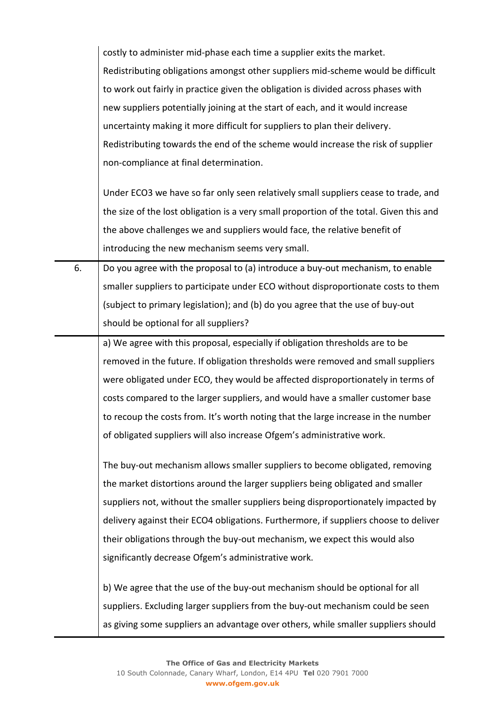| costly to administer mid-phase each time a supplier exits the market.             |
|-----------------------------------------------------------------------------------|
| Redistributing obligations amongst other suppliers mid-scheme would be difficult  |
| to work out fairly in practice given the obligation is divided across phases with |
| new suppliers potentially joining at the start of each, and it would increase     |
| uncertainty making it more difficult for suppliers to plan their delivery.        |
| Redistributing towards the end of the scheme would increase the risk of supplier  |
| non-compliance at final determination.                                            |

Under ECO3 we have so far only seen relatively small suppliers cease to trade, and the size of the lost obligation is a very small proportion of the total. Given this and the above challenges we and suppliers would face, the relative benefit of introducing the new mechanism seems very small.

6.  $\Box$  Do you agree with the proposal to (a) introduce a buy-out mechanism, to enable smaller suppliers to participate under ECO without disproportionate costs to them (subject to primary legislation); and (b) do you agree that the use of buy-out should be optional for all suppliers?

a) We agree with this proposal, especially if obligation thresholds are to be removed in the future. If obligation thresholds were removed and small suppliers were obligated under ECO, they would be affected disproportionately in terms of costs compared to the larger suppliers, and would have a smaller customer base to recoup the costs from. It's worth noting that the large increase in the number of obligated suppliers will also increase Ofgem's administrative work.

The buy-out mechanism allows smaller suppliers to become obligated, removing the market distortions around the larger suppliers being obligated and smaller suppliers not, without the smaller suppliers being disproportionately impacted by delivery against their ECO4 obligations. Furthermore, if suppliers choose to deliver their obligations through the buy-out mechanism, we expect this would also significantly decrease Ofgem's administrative work.

b) We agree that the use of the buy-out mechanism should be optional for all suppliers. Excluding larger suppliers from the buy-out mechanism could be seen as giving some suppliers an advantage over others, while smaller suppliers should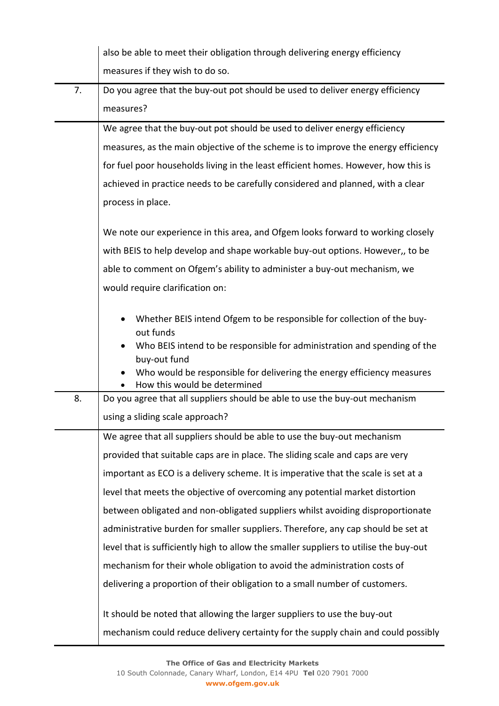|    | also be able to meet their obligation through delivering energy efficiency                                                                                                                                                                                |
|----|-----------------------------------------------------------------------------------------------------------------------------------------------------------------------------------------------------------------------------------------------------------|
|    | measures if they wish to do so.                                                                                                                                                                                                                           |
| 7. | Do you agree that the buy-out pot should be used to deliver energy efficiency                                                                                                                                                                             |
|    | measures?                                                                                                                                                                                                                                                 |
|    | We agree that the buy-out pot should be used to deliver energy efficiency                                                                                                                                                                                 |
|    | measures, as the main objective of the scheme is to improve the energy efficiency                                                                                                                                                                         |
|    | for fuel poor households living in the least efficient homes. However, how this is                                                                                                                                                                        |
|    | achieved in practice needs to be carefully considered and planned, with a clear                                                                                                                                                                           |
|    | process in place.                                                                                                                                                                                                                                         |
|    | We note our experience in this area, and Ofgem looks forward to working closely                                                                                                                                                                           |
|    | with BEIS to help develop and shape workable buy-out options. However,, to be                                                                                                                                                                             |
|    | able to comment on Ofgem's ability to administer a buy-out mechanism, we                                                                                                                                                                                  |
|    | would require clarification on:                                                                                                                                                                                                                           |
|    | Whether BEIS intend Ofgem to be responsible for collection of the buy-<br>out funds<br>Who BEIS intend to be responsible for administration and spending of the<br>buy-out fund<br>Who would be responsible for delivering the energy efficiency measures |
|    | How this would be determined                                                                                                                                                                                                                              |
| 8. | Do you agree that all suppliers should be able to use the buy-out mechanism                                                                                                                                                                               |
|    | using a sliding scale approach?                                                                                                                                                                                                                           |
|    | We agree that all suppliers should be able to use the buy-out mechanism                                                                                                                                                                                   |
|    | provided that suitable caps are in place. The sliding scale and caps are very                                                                                                                                                                             |
|    | important as ECO is a delivery scheme. It is imperative that the scale is set at a                                                                                                                                                                        |
|    | level that meets the objective of overcoming any potential market distortion                                                                                                                                                                              |
|    | between obligated and non-obligated suppliers whilst avoiding disproportionate                                                                                                                                                                            |
|    | administrative burden for smaller suppliers. Therefore, any cap should be set at                                                                                                                                                                          |
|    | level that is sufficiently high to allow the smaller suppliers to utilise the buy-out                                                                                                                                                                     |
|    | mechanism for their whole obligation to avoid the administration costs of                                                                                                                                                                                 |
|    | delivering a proportion of their obligation to a small number of customers.                                                                                                                                                                               |
|    | It should be noted that allowing the larger suppliers to use the buy-out                                                                                                                                                                                  |
|    | mechanism could reduce delivery certainty for the supply chain and could possibly                                                                                                                                                                         |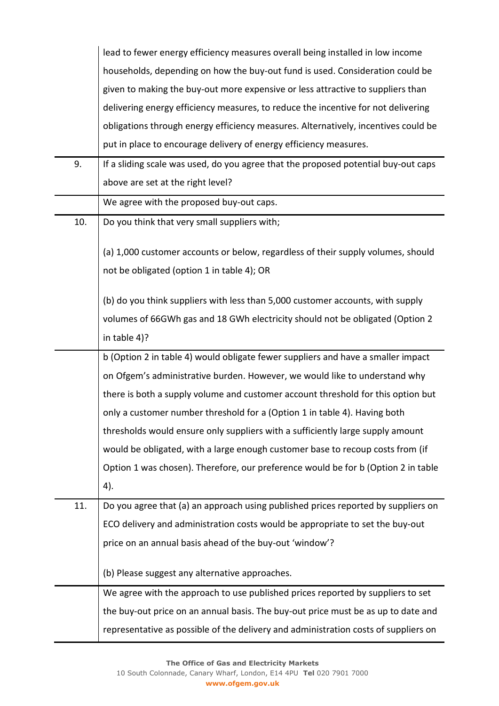|     | lead to fewer energy efficiency measures overall being installed in low income      |
|-----|-------------------------------------------------------------------------------------|
|     | households, depending on how the buy-out fund is used. Consideration could be       |
|     | given to making the buy-out more expensive or less attractive to suppliers than     |
|     | delivering energy efficiency measures, to reduce the incentive for not delivering   |
|     | obligations through energy efficiency measures. Alternatively, incentives could be  |
|     | put in place to encourage delivery of energy efficiency measures.                   |
| 9.  | If a sliding scale was used, do you agree that the proposed potential buy-out caps  |
|     | above are set at the right level?                                                   |
|     | We agree with the proposed buy-out caps.                                            |
| 10. | Do you think that very small suppliers with;                                        |
|     |                                                                                     |
|     | (a) 1,000 customer accounts or below, regardless of their supply volumes, should    |
|     | not be obligated (option 1 in table 4); OR                                          |
|     | (b) do you think suppliers with less than 5,000 customer accounts, with supply      |
|     | volumes of 66GWh gas and 18 GWh electricity should not be obligated (Option 2       |
|     | in table 4)?                                                                        |
|     | b (Option 2 in table 4) would obligate fewer suppliers and have a smaller impact    |
|     | on Ofgem's administrative burden. However, we would like to understand why          |
|     | there is both a supply volume and customer account threshold for this option but    |
|     | only a customer number threshold for a (Option 1 in table 4). Having both           |
|     | thresholds would ensure only suppliers with a sufficiently large supply amount      |
|     | would be obligated, with a large enough customer base to recoup costs from (if      |
|     | Option 1 was chosen). Therefore, our preference would be for b (Option 2 in table   |
|     | 4).                                                                                 |
| 11. | Do you agree that (a) an approach using published prices reported by suppliers on   |
|     | ECO delivery and administration costs would be appropriate to set the buy-out       |
|     | price on an annual basis ahead of the buy-out 'window'?                             |
|     |                                                                                     |
|     | (b) Please suggest any alternative approaches.                                      |
|     | We agree with the approach to use published prices reported by suppliers to set     |
|     | the buy-out price on an annual basis. The buy-out price must be as up to date and   |
|     | representative as possible of the delivery and administration costs of suppliers on |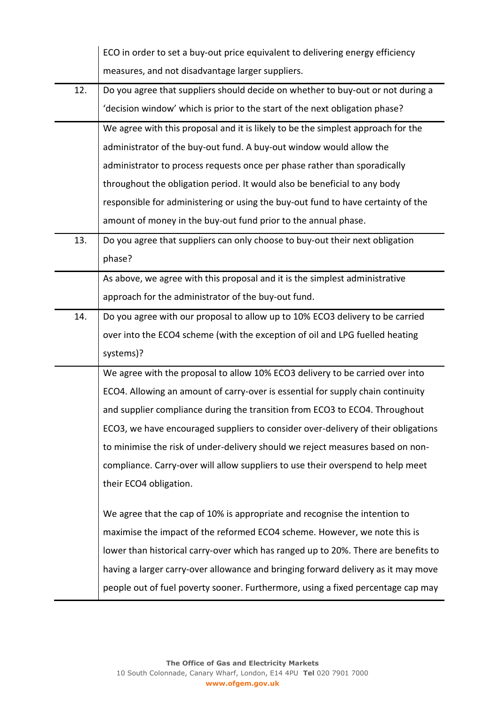|     | ECO in order to set a buy-out price equivalent to delivering energy efficiency     |
|-----|------------------------------------------------------------------------------------|
|     | measures, and not disadvantage larger suppliers.                                   |
| 12. | Do you agree that suppliers should decide on whether to buy-out or not during a    |
|     | 'decision window' which is prior to the start of the next obligation phase?        |
|     | We agree with this proposal and it is likely to be the simplest approach for the   |
|     | administrator of the buy-out fund. A buy-out window would allow the                |
|     | administrator to process requests once per phase rather than sporadically          |
|     | throughout the obligation period. It would also be beneficial to any body          |
|     | responsible for administering or using the buy-out fund to have certainty of the   |
|     | amount of money in the buy-out fund prior to the annual phase.                     |
| 13. | Do you agree that suppliers can only choose to buy-out their next obligation       |
|     | phase?                                                                             |
|     | As above, we agree with this proposal and it is the simplest administrative        |
|     | approach for the administrator of the buy-out fund.                                |
| 14. | Do you agree with our proposal to allow up to 10% ECO3 delivery to be carried      |
|     | over into the ECO4 scheme (with the exception of oil and LPG fuelled heating       |
|     | systems)?                                                                          |
|     | We agree with the proposal to allow 10% ECO3 delivery to be carried over into      |
|     | ECO4. Allowing an amount of carry-over is essential for supply chain continuity    |
|     | and supplier compliance during the transition from ECO3 to ECO4. Throughout        |
|     | ECO3, we have encouraged suppliers to consider over-delivery of their obligations  |
|     | to minimise the risk of under-delivery should we reject measures based on non-     |
|     | compliance. Carry-over will allow suppliers to use their overspend to help meet    |
|     | their ECO4 obligation.                                                             |
|     | We agree that the cap of 10% is appropriate and recognise the intention to         |
|     | maximise the impact of the reformed ECO4 scheme. However, we note this is          |
|     | lower than historical carry-over which has ranged up to 20%. There are benefits to |
|     | having a larger carry-over allowance and bringing forward delivery as it may move  |
|     | people out of fuel poverty sooner. Furthermore, using a fixed percentage cap may   |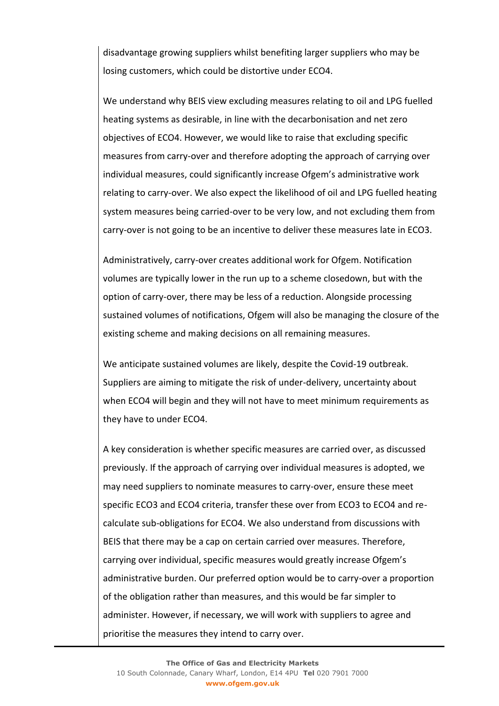disadvantage growing suppliers whilst benefiting larger suppliers who may be losing customers, which could be distortive under ECO4.

We understand why BEIS view excluding measures relating to oil and LPG fuelled heating systems as desirable, in line with the decarbonisation and net zero objectives of ECO4. However, we would like to raise that excluding specific measures from carry-over and therefore adopting the approach of carrying over individual measures, could significantly increase Ofgem's administrative work relating to carry-over. We also expect the likelihood of oil and LPG fuelled heating system measures being carried-over to be very low, and not excluding them from carry-over is not going to be an incentive to deliver these measures late in ECO3.

Administratively, carry-over creates additional work for Ofgem. Notification volumes are typically lower in the run up to a scheme closedown, but with the option of carry-over, there may be less of a reduction. Alongside processing sustained volumes of notifications, Ofgem will also be managing the closure of the existing scheme and making decisions on all remaining measures.

We anticipate sustained volumes are likely, despite the Covid-19 outbreak. Suppliers are aiming to mitigate the risk of under-delivery, uncertainty about when ECO4 will begin and they will not have to meet minimum requirements as they have to under ECO4.

A key consideration is whether specific measures are carried over, as discussed previously. If the approach of carrying over individual measures is adopted, we may need suppliers to nominate measures to carry-over, ensure these meet specific ECO3 and ECO4 criteria, transfer these over from ECO3 to ECO4 and recalculate sub-obligations for ECO4. We also understand from discussions with BEIS that there may be a cap on certain carried over measures. Therefore, carrying over individual, specific measures would greatly increase Ofgem's administrative burden. Our preferred option would be to carry-over a proportion of the obligation rather than measures, and this would be far simpler to administer. However, if necessary, we will work with suppliers to agree and prioritise the measures they intend to carry over.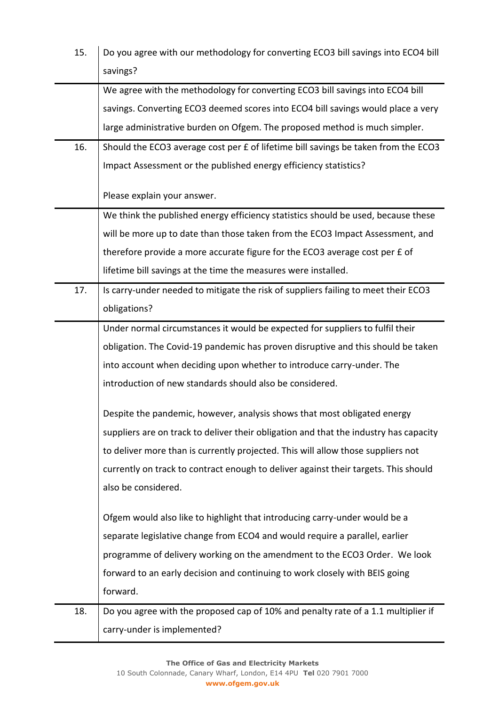| 15. | Do you agree with our methodology for converting ECO3 bill savings into ECO4 bill     |
|-----|---------------------------------------------------------------------------------------|
|     | savings?                                                                              |
|     | We agree with the methodology for converting ECO3 bill savings into ECO4 bill         |
|     | savings. Converting ECO3 deemed scores into ECO4 bill savings would place a very      |
|     | large administrative burden on Ofgem. The proposed method is much simpler.            |
| 16. | Should the ECO3 average cost per £ of lifetime bill savings be taken from the ECO3    |
|     | Impact Assessment or the published energy efficiency statistics?                      |
|     | Please explain your answer.                                                           |
|     | We think the published energy efficiency statistics should be used, because these     |
|     | will be more up to date than those taken from the ECO3 Impact Assessment, and         |
|     | therefore provide a more accurate figure for the ECO3 average cost per £ of           |
|     | lifetime bill savings at the time the measures were installed.                        |
| 17. | Is carry-under needed to mitigate the risk of suppliers failing to meet their ECO3    |
|     | obligations?                                                                          |
|     | Under normal circumstances it would be expected for suppliers to fulfil their         |
|     | obligation. The Covid-19 pandemic has proven disruptive and this should be taken      |
|     | into account when deciding upon whether to introduce carry-under. The                 |
|     | introduction of new standards should also be considered.                              |
|     | Despite the pandemic, however, analysis shows that most obligated energy              |
|     | suppliers are on track to deliver their obligation and that the industry has capacity |
|     | to deliver more than is currently projected. This will allow those suppliers not      |
|     | currently on track to contract enough to deliver against their targets. This should   |
|     | also be considered.                                                                   |
|     | Ofgem would also like to highlight that introducing carry-under would be a            |
|     | separate legislative change from ECO4 and would require a parallel, earlier           |
|     | programme of delivery working on the amendment to the ECO3 Order. We look             |
|     | forward to an early decision and continuing to work closely with BEIS going           |
|     | forward.                                                                              |
| 18. | Do you agree with the proposed cap of 10% and penalty rate of a 1.1 multiplier if     |
|     | carry-under is implemented?                                                           |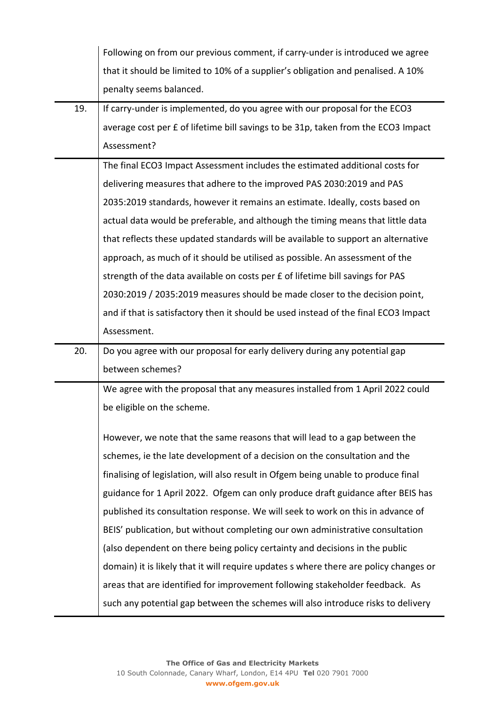|     | Following on from our previous comment, if carry-under is introduced we agree         |
|-----|---------------------------------------------------------------------------------------|
|     | that it should be limited to 10% of a supplier's obligation and penalised. A 10%      |
|     | penalty seems balanced.                                                               |
| 19. | If carry-under is implemented, do you agree with our proposal for the ECO3            |
|     | average cost per £ of lifetime bill savings to be 31p, taken from the ECO3 Impact     |
|     | Assessment?                                                                           |
|     | The final ECO3 Impact Assessment includes the estimated additional costs for          |
|     | delivering measures that adhere to the improved PAS 2030:2019 and PAS                 |
|     | 2035:2019 standards, however it remains an estimate. Ideally, costs based on          |
|     | actual data would be preferable, and although the timing means that little data       |
|     | that reflects these updated standards will be available to support an alternative     |
|     | approach, as much of it should be utilised as possible. An assessment of the          |
|     | strength of the data available on costs per £ of lifetime bill savings for PAS        |
|     | 2030:2019 / 2035:2019 measures should be made closer to the decision point,           |
|     | and if that is satisfactory then it should be used instead of the final ECO3 Impact   |
|     | Assessment.                                                                           |
| 20. | Do you agree with our proposal for early delivery during any potential gap            |
|     | between schemes?                                                                      |
|     | We agree with the proposal that any measures installed from 1 April 2022 could        |
|     | be eligible on the scheme.                                                            |
|     | However, we note that the same reasons that will lead to a gap between the            |
|     | schemes, ie the late development of a decision on the consultation and the            |
|     | finalising of legislation, will also result in Ofgem being unable to produce final    |
|     | guidance for 1 April 2022. Ofgem can only produce draft guidance after BEIS has       |
|     | published its consultation response. We will seek to work on this in advance of       |
|     | BEIS' publication, but without completing our own administrative consultation         |
|     | (also dependent on there being policy certainty and decisions in the public           |
|     |                                                                                       |
|     | domain) it is likely that it will require updates s where there are policy changes or |
|     | areas that are identified for improvement following stakeholder feedback. As          |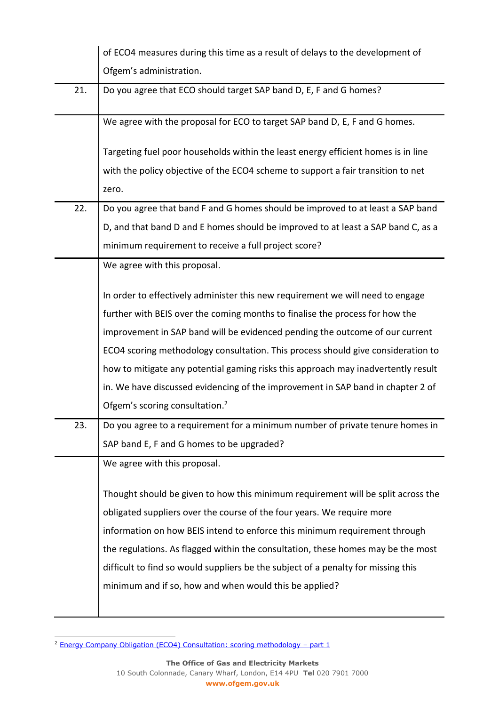|     | of ECO4 measures during this time as a result of delays to the development of                                                                                                                                                                                                                                                                                                                                                                                                                                                                                                                                                                                                          |
|-----|----------------------------------------------------------------------------------------------------------------------------------------------------------------------------------------------------------------------------------------------------------------------------------------------------------------------------------------------------------------------------------------------------------------------------------------------------------------------------------------------------------------------------------------------------------------------------------------------------------------------------------------------------------------------------------------|
|     | Ofgem's administration.                                                                                                                                                                                                                                                                                                                                                                                                                                                                                                                                                                                                                                                                |
| 21. | Do you agree that ECO should target SAP band D, E, F and G homes?                                                                                                                                                                                                                                                                                                                                                                                                                                                                                                                                                                                                                      |
|     | We agree with the proposal for ECO to target SAP band D, E, F and G homes.                                                                                                                                                                                                                                                                                                                                                                                                                                                                                                                                                                                                             |
|     | Targeting fuel poor households within the least energy efficient homes is in line                                                                                                                                                                                                                                                                                                                                                                                                                                                                                                                                                                                                      |
|     | with the policy objective of the ECO4 scheme to support a fair transition to net                                                                                                                                                                                                                                                                                                                                                                                                                                                                                                                                                                                                       |
|     | zero.                                                                                                                                                                                                                                                                                                                                                                                                                                                                                                                                                                                                                                                                                  |
| 22. | Do you agree that band F and G homes should be improved to at least a SAP band                                                                                                                                                                                                                                                                                                                                                                                                                                                                                                                                                                                                         |
|     | D, and that band D and E homes should be improved to at least a SAP band C, as a                                                                                                                                                                                                                                                                                                                                                                                                                                                                                                                                                                                                       |
|     | minimum requirement to receive a full project score?                                                                                                                                                                                                                                                                                                                                                                                                                                                                                                                                                                                                                                   |
|     | We agree with this proposal.                                                                                                                                                                                                                                                                                                                                                                                                                                                                                                                                                                                                                                                           |
| 23. | In order to effectively administer this new requirement we will need to engage<br>further with BEIS over the coming months to finalise the process for how the<br>improvement in SAP band will be evidenced pending the outcome of our current<br>ECO4 scoring methodology consultation. This process should give consideration to<br>how to mitigate any potential gaming risks this approach may inadvertently result<br>in. We have discussed evidencing of the improvement in SAP band in chapter 2 of<br>Ofgem's scoring consultation. <sup>2</sup><br>Do you agree to a requirement for a minimum number of private tenure homes in<br>SAP band E, F and G homes to be upgraded? |
|     | We agree with this proposal.                                                                                                                                                                                                                                                                                                                                                                                                                                                                                                                                                                                                                                                           |
|     | Thought should be given to how this minimum requirement will be split across the                                                                                                                                                                                                                                                                                                                                                                                                                                                                                                                                                                                                       |
|     | obligated suppliers over the course of the four years. We require more                                                                                                                                                                                                                                                                                                                                                                                                                                                                                                                                                                                                                 |
|     | information on how BEIS intend to enforce this minimum requirement through                                                                                                                                                                                                                                                                                                                                                                                                                                                                                                                                                                                                             |
|     | the regulations. As flagged within the consultation, these homes may be the most                                                                                                                                                                                                                                                                                                                                                                                                                                                                                                                                                                                                       |
|     | difficult to find so would suppliers be the subject of a penalty for missing this<br>minimum and if so, how and when would this be applied?                                                                                                                                                                                                                                                                                                                                                                                                                                                                                                                                            |
|     |                                                                                                                                                                                                                                                                                                                                                                                                                                                                                                                                                                                                                                                                                        |

<sup>&</sup>lt;sup>2</sup> [Energy Company Obligation \(ECO4\) Consultation: scoring methodology](https://www.ofgem.gov.uk/publications/energy-company-obligation-eco4-consultation-scoring-methodology-part-1) – part 1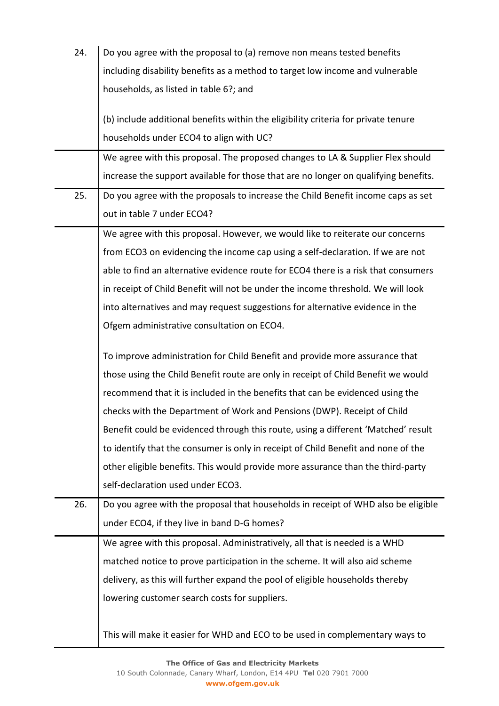| 24. | Do you agree with the proposal to (a) remove non means tested benefits              |
|-----|-------------------------------------------------------------------------------------|
|     | including disability benefits as a method to target low income and vulnerable       |
|     | households, as listed in table 6?; and                                              |
|     |                                                                                     |
|     | (b) include additional benefits within the eligibility criteria for private tenure  |
|     | households under ECO4 to align with UC?                                             |
|     | We agree with this proposal. The proposed changes to LA & Supplier Flex should      |
|     | increase the support available for those that are no longer on qualifying benefits. |
| 25. | Do you agree with the proposals to increase the Child Benefit income caps as set    |
|     | out in table 7 under ECO4?                                                          |
|     | We agree with this proposal. However, we would like to reiterate our concerns       |
|     | from ECO3 on evidencing the income cap using a self-declaration. If we are not      |
|     | able to find an alternative evidence route for ECO4 there is a risk that consumers  |
|     | in receipt of Child Benefit will not be under the income threshold. We will look    |
|     | into alternatives and may request suggestions for alternative evidence in the       |
|     | Ofgem administrative consultation on ECO4.                                          |
|     | To improve administration for Child Benefit and provide more assurance that         |
|     | those using the Child Benefit route are only in receipt of Child Benefit we would   |
|     | recommend that it is included in the benefits that can be evidenced using the       |
|     | checks with the Department of Work and Pensions (DWP). Receipt of Child             |
|     | Benefit could be evidenced through this route, using a different 'Matched' result   |
|     | to identify that the consumer is only in receipt of Child Benefit and none of the   |
|     | other eligible benefits. This would provide more assurance than the third-party     |
|     | self-declaration used under ECO3.                                                   |
| 26. | Do you agree with the proposal that households in receipt of WHD also be eligible   |
|     | under ECO4, if they live in band D-G homes?                                         |
|     | We agree with this proposal. Administratively, all that is needed is a WHD          |
|     | matched notice to prove participation in the scheme. It will also aid scheme        |
|     | delivery, as this will further expand the pool of eligible households thereby       |
|     | lowering customer search costs for suppliers.                                       |
|     |                                                                                     |
|     | This will make it easier for WHD and ECO to be used in complementary ways to        |
|     |                                                                                     |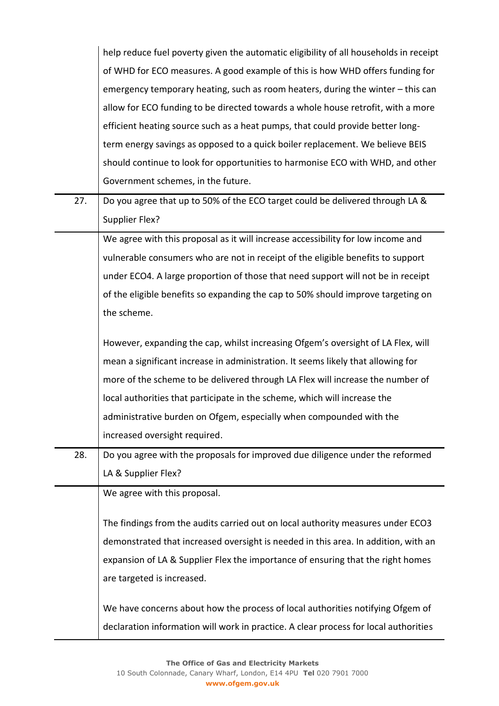|     | help reduce fuel poverty given the automatic eligibility of all households in receipt |
|-----|---------------------------------------------------------------------------------------|
|     | of WHD for ECO measures. A good example of this is how WHD offers funding for         |
|     | emergency temporary heating, such as room heaters, during the winter - this can       |
|     | allow for ECO funding to be directed towards a whole house retrofit, with a more      |
|     | efficient heating source such as a heat pumps, that could provide better long-        |
|     | term energy savings as opposed to a quick boiler replacement. We believe BEIS         |
|     | should continue to look for opportunities to harmonise ECO with WHD, and other        |
|     | Government schemes, in the future.                                                    |
| 27. | Do you agree that up to 50% of the ECO target could be delivered through LA &         |
|     | Supplier Flex?                                                                        |
|     | We agree with this proposal as it will increase accessibility for low income and      |
|     | vulnerable consumers who are not in receipt of the eligible benefits to support       |
|     | under ECO4. A large proportion of those that need support will not be in receipt      |
|     | of the eligible benefits so expanding the cap to 50% should improve targeting on      |
|     | the scheme.                                                                           |
|     |                                                                                       |
|     | However, expanding the cap, whilst increasing Ofgem's oversight of LA Flex, will      |
|     | mean a significant increase in administration. It seems likely that allowing for      |
|     | more of the scheme to be delivered through LA Flex will increase the number of        |
|     | local authorities that participate in the scheme, which will increase the             |
|     | administrative burden on Ofgem, especially when compounded with the                   |
|     | increased oversight required.                                                         |
| 28. | Do you agree with the proposals for improved due diligence under the reformed         |
|     | LA & Supplier Flex?                                                                   |
|     | We agree with this proposal.                                                          |
|     | The findings from the audits carried out on local authority measures under ECO3       |
|     | demonstrated that increased oversight is needed in this area. In addition, with an    |
|     | expansion of LA & Supplier Flex the importance of ensuring that the right homes       |
|     | are targeted is increased.                                                            |
|     |                                                                                       |
|     | We have concerns about how the process of local authorities notifying Ofgem of        |
|     | declaration information will work in practice. A clear process for local authorities  |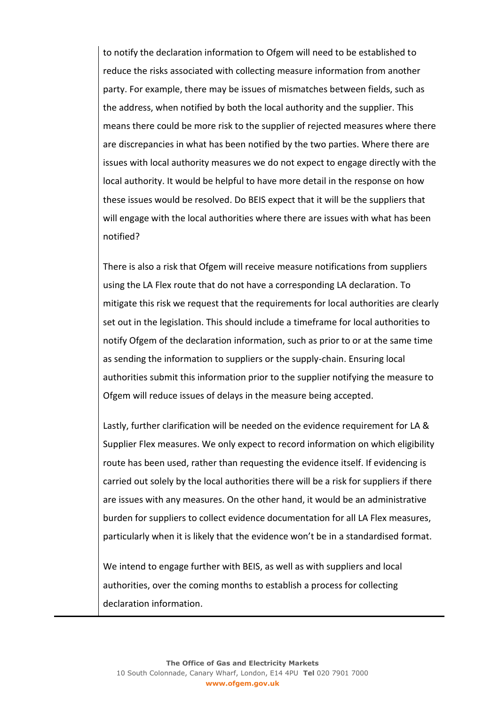to notify the declaration information to Ofgem will need to be established to reduce the risks associated with collecting measure information from another party. For example, there may be issues of mismatches between fields, such as the address, when notified by both the local authority and the supplier. This means there could be more risk to the supplier of rejected measures where there are discrepancies in what has been notified by the two parties. Where there are issues with local authority measures we do not expect to engage directly with the local authority. It would be helpful to have more detail in the response on how these issues would be resolved. Do BEIS expect that it will be the suppliers that will engage with the local authorities where there are issues with what has been notified?

There is also a risk that Ofgem will receive measure notifications from suppliers using the LA Flex route that do not have a corresponding LA declaration. To mitigate this risk we request that the requirements for local authorities are clearly set out in the legislation. This should include a timeframe for local authorities to notify Ofgem of the declaration information, such as prior to or at the same time as sending the information to suppliers or the supply-chain. Ensuring local authorities submit this information prior to the supplier notifying the measure to Ofgem will reduce issues of delays in the measure being accepted.

Lastly, further clarification will be needed on the evidence requirement for LA & Supplier Flex measures. We only expect to record information on which eligibility route has been used, rather than requesting the evidence itself. If evidencing is carried out solely by the local authorities there will be a risk for suppliers if there are issues with any measures. On the other hand, it would be an administrative burden for suppliers to collect evidence documentation for all LA Flex measures, particularly when it is likely that the evidence won't be in a standardised format.

We intend to engage further with BEIS, as well as with suppliers and local authorities, over the coming months to establish a process for collecting declaration information.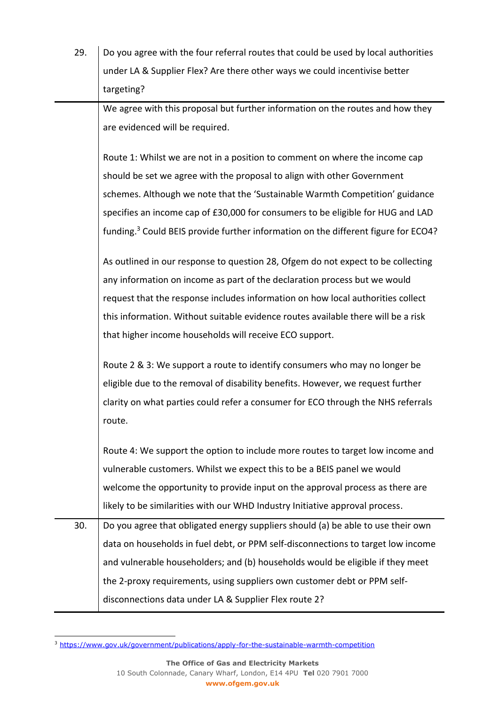| 29. | Do you agree with the four referral routes that could be used by local authorities             |
|-----|------------------------------------------------------------------------------------------------|
|     | under LA & Supplier Flex? Are there other ways we could incentivise better                     |
|     | targeting?                                                                                     |
|     | We agree with this proposal but further information on the routes and how they                 |
|     | are evidenced will be required.                                                                |
|     |                                                                                                |
|     | Route 1: Whilst we are not in a position to comment on where the income cap                    |
|     | should be set we agree with the proposal to align with other Government                        |
|     | schemes. Although we note that the 'Sustainable Warmth Competition' guidance                   |
|     | specifies an income cap of £30,000 for consumers to be eligible for HUG and LAD                |
|     | funding. <sup>3</sup> Could BEIS provide further information on the different figure for ECO4? |
|     | As outlined in our response to question 28, Ofgem do not expect to be collecting               |
|     | any information on income as part of the declaration process but we would                      |
|     | request that the response includes information on how local authorities collect                |
|     | this information. Without suitable evidence routes available there will be a risk              |
|     | that higher income households will receive ECO support.                                        |
|     | Route 2 & 3: We support a route to identify consumers who may no longer be                     |
|     | eligible due to the removal of disability benefits. However, we request further                |
|     | clarity on what parties could refer a consumer for ECO through the NHS referrals               |
|     | route.                                                                                         |
|     | Route 4: We support the option to include more routes to target low income and                 |
|     | vulnerable customers. Whilst we expect this to be a BEIS panel we would                        |
|     | welcome the opportunity to provide input on the approval process as there are                  |
|     | likely to be similarities with our WHD Industry Initiative approval process.                   |
| 30. | Do you agree that obligated energy suppliers should (a) be able to use their own               |
|     | data on households in fuel debt, or PPM self-disconnections to target low income               |
|     | and vulnerable householders; and (b) households would be eligible if they meet                 |
|     | the 2-proxy requirements, using suppliers own customer debt or PPM self-                       |
|     | disconnections data under LA & Supplier Flex route 2?                                          |

<sup>3</sup> <https://www.gov.uk/government/publications/apply-for-the-sustainable-warmth-competition>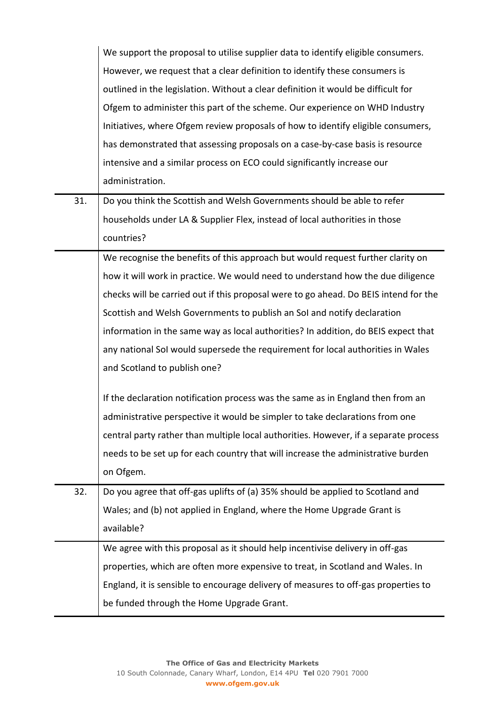|     | We support the proposal to utilise supplier data to identify eligible consumers.     |
|-----|--------------------------------------------------------------------------------------|
|     | However, we request that a clear definition to identify these consumers is           |
|     | outlined in the legislation. Without a clear definition it would be difficult for    |
|     | Ofgem to administer this part of the scheme. Our experience on WHD Industry          |
|     | Initiatives, where Ofgem review proposals of how to identify eligible consumers,     |
|     | has demonstrated that assessing proposals on a case-by-case basis is resource        |
|     | intensive and a similar process on ECO could significantly increase our              |
|     | administration.                                                                      |
| 31. | Do you think the Scottish and Welsh Governments should be able to refer              |
|     | households under LA & Supplier Flex, instead of local authorities in those           |
|     | countries?                                                                           |
|     | We recognise the benefits of this approach but would request further clarity on      |
|     | how it will work in practice. We would need to understand how the due diligence      |
|     | checks will be carried out if this proposal were to go ahead. Do BEIS intend for the |
|     | Scottish and Welsh Governments to publish an Sol and notify declaration              |
|     | information in the same way as local authorities? In addition, do BEIS expect that   |
|     | any national SoI would supersede the requirement for local authorities in Wales      |
|     | and Scotland to publish one?                                                         |
|     | If the declaration notification process was the same as in England then from an      |
|     | administrative perspective it would be simpler to take declarations from one         |
|     | central party rather than multiple local authorities. However, if a separate process |
|     | needs to be set up for each country that will increase the administrative burden     |
|     | on Ofgem.                                                                            |
| 32. | Do you agree that off-gas uplifts of (a) 35% should be applied to Scotland and       |
|     | Wales; and (b) not applied in England, where the Home Upgrade Grant is               |
|     | available?                                                                           |
|     | We agree with this proposal as it should help incentivise delivery in off-gas        |
|     | properties, which are often more expensive to treat, in Scotland and Wales. In       |
|     | England, it is sensible to encourage delivery of measures to off-gas properties to   |
|     | be funded through the Home Upgrade Grant.                                            |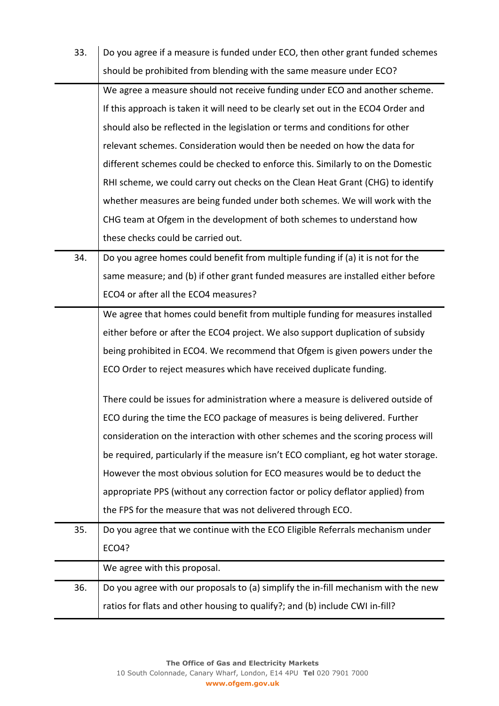| 33. | Do you agree if a measure is funded under ECO, then other grant funded schemes      |
|-----|-------------------------------------------------------------------------------------|
|     | should be prohibited from blending with the same measure under ECO?                 |
|     | We agree a measure should not receive funding under ECO and another scheme.         |
|     | If this approach is taken it will need to be clearly set out in the ECO4 Order and  |
|     | should also be reflected in the legislation or terms and conditions for other       |
|     | relevant schemes. Consideration would then be needed on how the data for            |
|     | different schemes could be checked to enforce this. Similarly to on the Domestic    |
|     | RHI scheme, we could carry out checks on the Clean Heat Grant (CHG) to identify     |
|     | whether measures are being funded under both schemes. We will work with the         |
|     | CHG team at Ofgem in the development of both schemes to understand how              |
|     | these checks could be carried out.                                                  |
| 34. | Do you agree homes could benefit from multiple funding if (a) it is not for the     |
|     | same measure; and (b) if other grant funded measures are installed either before    |
|     | ECO4 or after all the ECO4 measures?                                                |
|     | We agree that homes could benefit from multiple funding for measures installed      |
|     | either before or after the ECO4 project. We also support duplication of subsidy     |
|     | being prohibited in ECO4. We recommend that Ofgem is given powers under the         |
|     | ECO Order to reject measures which have received duplicate funding.                 |
|     | There could be issues for administration where a measure is delivered outside of    |
|     | ECO during the time the ECO package of measures is being delivered. Further         |
|     | consideration on the interaction with other schemes and the scoring process will    |
|     | be required, particularly if the measure isn't ECO compliant, eg hot water storage. |
|     | However the most obvious solution for ECO measures would be to deduct the           |
|     | appropriate PPS (without any correction factor or policy deflator applied) from     |
|     | the FPS for the measure that was not delivered through ECO.                         |
| 35. | Do you agree that we continue with the ECO Eligible Referrals mechanism under       |
|     | ECO4?                                                                               |
|     | We agree with this proposal.                                                        |
| 36. | Do you agree with our proposals to (a) simplify the in-fill mechanism with the new  |
|     | ratios for flats and other housing to qualify?; and (b) include CWI in-fill?        |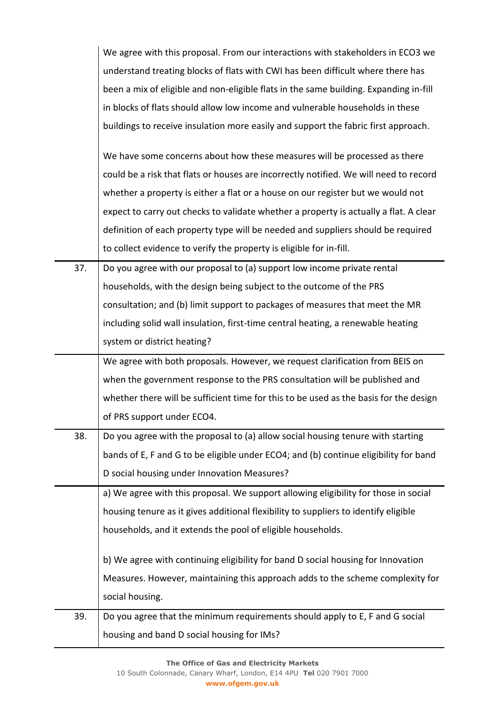|     | We agree with this proposal. From our interactions with stakeholders in ECO3 we       |
|-----|---------------------------------------------------------------------------------------|
|     | understand treating blocks of flats with CWI has been difficult where there has       |
|     | been a mix of eligible and non-eligible flats in the same building. Expanding in-fill |
|     | in blocks of flats should allow low income and vulnerable households in these         |
|     | buildings to receive insulation more easily and support the fabric first approach.    |
|     | We have some concerns about how these measures will be processed as there             |
|     | could be a risk that flats or houses are incorrectly notified. We will need to record |
|     | whether a property is either a flat or a house on our register but we would not       |
|     | expect to carry out checks to validate whether a property is actually a flat. A clear |
|     | definition of each property type will be needed and suppliers should be required      |
|     | to collect evidence to verify the property is eligible for in-fill.                   |
| 37. | Do you agree with our proposal to (a) support low income private rental               |
|     | households, with the design being subject to the outcome of the PRS                   |
|     | consultation; and (b) limit support to packages of measures that meet the MR          |
|     | including solid wall insulation, first-time central heating, a renewable heating      |
|     | system or district heating?                                                           |
|     | We agree with both proposals. However, we request clarification from BEIS on          |
|     | when the government response to the PRS consultation will be published and            |
|     | whether there will be sufficient time for this to be used as the basis for the design |
|     | of PRS support under ECO4.                                                            |
| 38. | Do you agree with the proposal to (a) allow social housing tenure with starting       |
|     | bands of E, F and G to be eligible under ECO4; and (b) continue eligibility for band  |
|     | D social housing under Innovation Measures?                                           |
|     | a) We agree with this proposal. We support allowing eligibility for those in social   |
|     | housing tenure as it gives additional flexibility to suppliers to identify eligible   |
|     | households, and it extends the pool of eligible households.                           |
|     | b) We agree with continuing eligibility for band D social housing for Innovation      |
|     | Measures. However, maintaining this approach adds to the scheme complexity for        |
|     | social housing.                                                                       |
| 39. | Do you agree that the minimum requirements should apply to E, F and G social          |
|     | housing and band D social housing for IMs?                                            |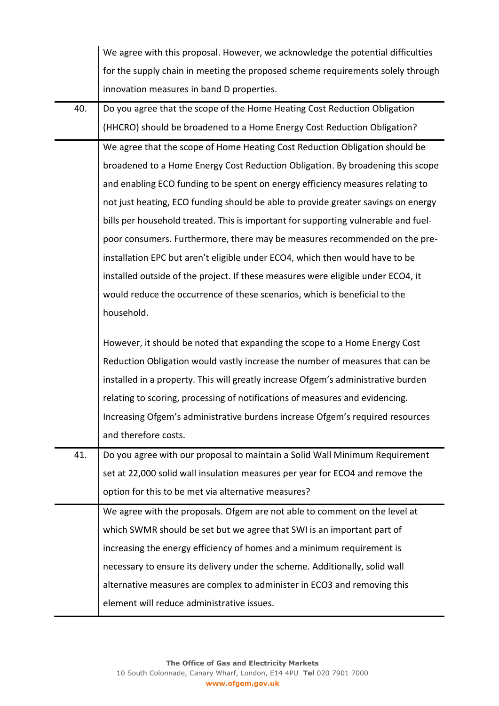|     | We agree with this proposal. However, we acknowledge the potential difficulties    |
|-----|------------------------------------------------------------------------------------|
|     | for the supply chain in meeting the proposed scheme requirements solely through    |
|     | innovation measures in band D properties.                                          |
| 40. | Do you agree that the scope of the Home Heating Cost Reduction Obligation          |
|     | (HHCRO) should be broadened to a Home Energy Cost Reduction Obligation?            |
|     | We agree that the scope of Home Heating Cost Reduction Obligation should be        |
|     | broadened to a Home Energy Cost Reduction Obligation. By broadening this scope     |
|     | and enabling ECO funding to be spent on energy efficiency measures relating to     |
|     | not just heating, ECO funding should be able to provide greater savings on energy  |
|     | bills per household treated. This is important for supporting vulnerable and fuel- |
|     | poor consumers. Furthermore, there may be measures recommended on the pre-         |
|     | installation EPC but aren't eligible under ECO4, which then would have to be       |
|     | installed outside of the project. If these measures were eligible under ECO4, it   |
|     | would reduce the occurrence of these scenarios, which is beneficial to the         |
|     | household.                                                                         |
|     | However, it should be noted that expanding the scope to a Home Energy Cost         |
|     | Reduction Obligation would vastly increase the number of measures that can be      |
|     | installed in a property. This will greatly increase Ofgem's administrative burden  |
|     | relating to scoring, processing of notifications of measures and evidencing.       |
|     | Increasing Ofgem's administrative burdens increase Ofgem's required resources      |
|     | and therefore costs.                                                               |
| 41. | Do you agree with our proposal to maintain a Solid Wall Minimum Requirement        |
|     | set at 22,000 solid wall insulation measures per year for ECO4 and remove the      |
|     | option for this to be met via alternative measures?                                |
|     | We agree with the proposals. Ofgem are not able to comment on the level at         |
|     | which SWMR should be set but we agree that SWI is an important part of             |
|     | increasing the energy efficiency of homes and a minimum requirement is             |
|     | necessary to ensure its delivery under the scheme. Additionally, solid wall        |
|     | alternative measures are complex to administer in ECO3 and removing this           |
|     | element will reduce administrative issues.                                         |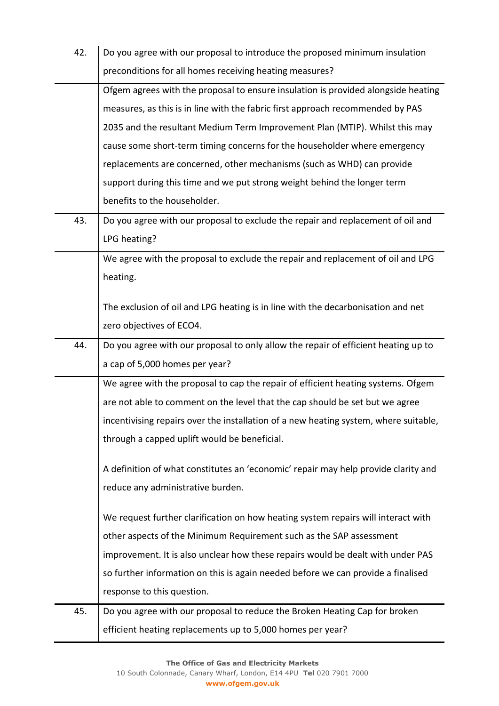| 42. | Do you agree with our proposal to introduce the proposed minimum insulation          |
|-----|--------------------------------------------------------------------------------------|
|     | preconditions for all homes receiving heating measures?                              |
|     | Ofgem agrees with the proposal to ensure insulation is provided alongside heating    |
|     | measures, as this is in line with the fabric first approach recommended by PAS       |
|     | 2035 and the resultant Medium Term Improvement Plan (MTIP). Whilst this may          |
|     | cause some short-term timing concerns for the householder where emergency            |
|     | replacements are concerned, other mechanisms (such as WHD) can provide               |
|     | support during this time and we put strong weight behind the longer term             |
|     | benefits to the householder.                                                         |
| 43. | Do you agree with our proposal to exclude the repair and replacement of oil and      |
|     | LPG heating?                                                                         |
|     | We agree with the proposal to exclude the repair and replacement of oil and LPG      |
|     | heating.                                                                             |
|     | The exclusion of oil and LPG heating is in line with the decarbonisation and net     |
|     | zero objectives of ECO4.                                                             |
| 44. | Do you agree with our proposal to only allow the repair of efficient heating up to   |
|     | a cap of 5,000 homes per year?                                                       |
|     | We agree with the proposal to cap the repair of efficient heating systems. Ofgem     |
|     | are not able to comment on the level that the cap should be set but we agree         |
|     | incentivising repairs over the installation of a new heating system, where suitable, |
|     | through a capped uplift would be beneficial.                                         |
|     |                                                                                      |
|     | A definition of what constitutes an 'economic' repair may help provide clarity and   |
|     | reduce any administrative burden.                                                    |
|     | We request further clarification on how heating system repairs will interact with    |
|     | other aspects of the Minimum Requirement such as the SAP assessment                  |
|     | improvement. It is also unclear how these repairs would be dealt with under PAS      |
|     | so further information on this is again needed before we can provide a finalised     |
|     | response to this question.                                                           |
| 45. | Do you agree with our proposal to reduce the Broken Heating Cap for broken           |
|     | efficient heating replacements up to 5,000 homes per year?                           |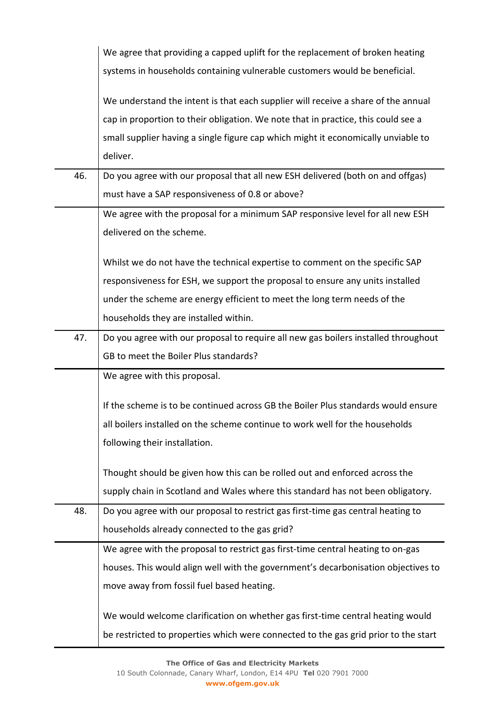|     | We agree that providing a capped uplift for the replacement of broken heating       |
|-----|-------------------------------------------------------------------------------------|
|     | systems in households containing vulnerable customers would be beneficial.          |
|     | We understand the intent is that each supplier will receive a share of the annual   |
|     | cap in proportion to their obligation. We note that in practice, this could see a   |
|     | small supplier having a single figure cap which might it economically unviable to   |
|     | deliver.                                                                            |
| 46. | Do you agree with our proposal that all new ESH delivered (both on and offgas)      |
|     | must have a SAP responsiveness of 0.8 or above?                                     |
|     | We agree with the proposal for a minimum SAP responsive level for all new ESH       |
|     | delivered on the scheme.                                                            |
|     | Whilst we do not have the technical expertise to comment on the specific SAP        |
|     | responsiveness for ESH, we support the proposal to ensure any units installed       |
|     | under the scheme are energy efficient to meet the long term needs of the            |
|     | households they are installed within.                                               |
| 47. | Do you agree with our proposal to require all new gas boilers installed throughout  |
|     | GB to meet the Boiler Plus standards?                                               |
|     | We agree with this proposal.                                                        |
|     | If the scheme is to be continued across GB the Boiler Plus standards would ensure   |
|     | all boilers installed on the scheme continue to work well for the households        |
|     | following their installation.                                                       |
|     | Thought should be given how this can be rolled out and enforced across the          |
|     | supply chain in Scotland and Wales where this standard has not been obligatory.     |
| 48. | Do you agree with our proposal to restrict gas first-time gas central heating to    |
|     | households already connected to the gas grid?                                       |
|     | We agree with the proposal to restrict gas first-time central heating to on-gas     |
|     | houses. This would align well with the government's decarbonisation objectives to   |
|     | move away from fossil fuel based heating.                                           |
|     | We would welcome clarification on whether gas first-time central heating would      |
|     | be restricted to properties which were connected to the gas grid prior to the start |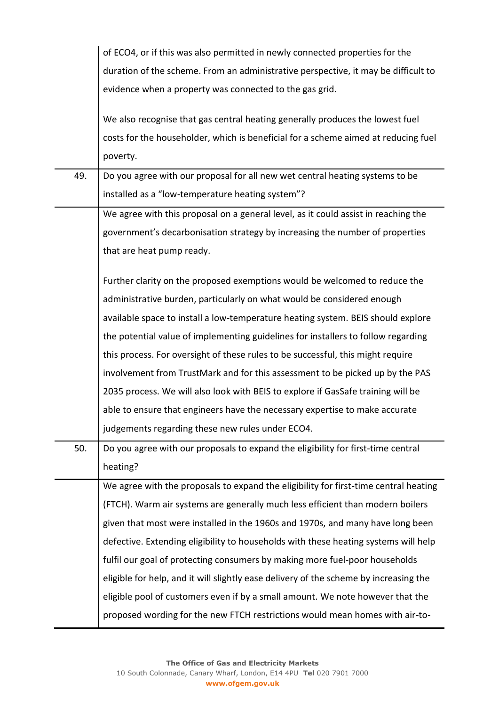|     | of ECO4, or if this was also permitted in newly connected properties for the          |
|-----|---------------------------------------------------------------------------------------|
|     | duration of the scheme. From an administrative perspective, it may be difficult to    |
|     | evidence when a property was connected to the gas grid.                               |
|     |                                                                                       |
|     | We also recognise that gas central heating generally produces the lowest fuel         |
|     | costs for the householder, which is beneficial for a scheme aimed at reducing fuel    |
|     | poverty.                                                                              |
| 49. | Do you agree with our proposal for all new wet central heating systems to be          |
|     | installed as a "low-temperature heating system"?                                      |
|     | We agree with this proposal on a general level, as it could assist in reaching the    |
|     | government's decarbonisation strategy by increasing the number of properties          |
|     | that are heat pump ready.                                                             |
|     | Further clarity on the proposed exemptions would be welcomed to reduce the            |
|     | administrative burden, particularly on what would be considered enough                |
|     | available space to install a low-temperature heating system. BEIS should explore      |
|     | the potential value of implementing guidelines for installers to follow regarding     |
|     | this process. For oversight of these rules to be successful, this might require       |
|     | involvement from TrustMark and for this assessment to be picked up by the PAS         |
|     | 2035 process. We will also look with BEIS to explore if GasSafe training will be      |
|     | able to ensure that engineers have the necessary expertise to make accurate           |
|     | judgements regarding these new rules under ECO4.                                      |
| 50. | Do you agree with our proposals to expand the eligibility for first-time central      |
|     | heating?                                                                              |
|     | We agree with the proposals to expand the eligibility for first-time central heating  |
|     | (FTCH). Warm air systems are generally much less efficient than modern boilers        |
|     | given that most were installed in the 1960s and 1970s, and many have long been        |
|     | defective. Extending eligibility to households with these heating systems will help   |
|     | fulfil our goal of protecting consumers by making more fuel-poor households           |
|     | eligible for help, and it will slightly ease delivery of the scheme by increasing the |
|     | eligible pool of customers even if by a small amount. We note however that the        |
|     | proposed wording for the new FTCH restrictions would mean homes with air-to-          |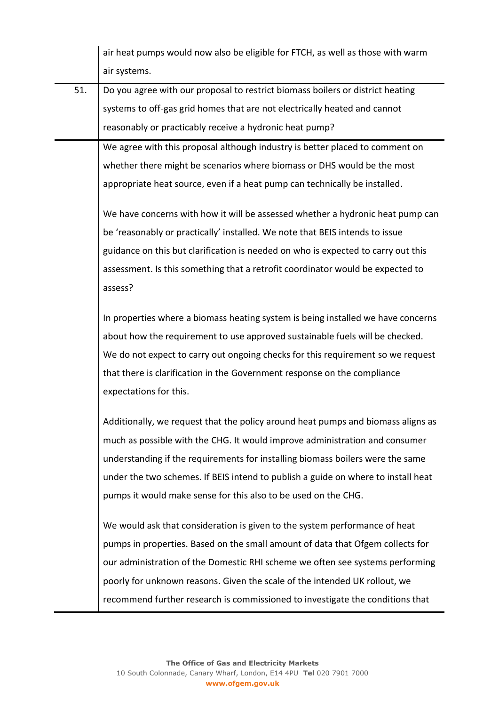|     | air heat pumps would now also be eligible for FTCH, as well as those with warm    |
|-----|-----------------------------------------------------------------------------------|
|     | air systems.                                                                      |
| 51. | Do you agree with our proposal to restrict biomass boilers or district heating    |
|     | systems to off-gas grid homes that are not electrically heated and cannot         |
|     | reasonably or practicably receive a hydronic heat pump?                           |
|     | We agree with this proposal although industry is better placed to comment on      |
|     | whether there might be scenarios where biomass or DHS would be the most           |
|     | appropriate heat source, even if a heat pump can technically be installed.        |
|     | We have concerns with how it will be assessed whether a hydronic heat pump can    |
|     | be 'reasonably or practically' installed. We note that BEIS intends to issue      |
|     | guidance on this but clarification is needed on who is expected to carry out this |
|     | assessment. Is this something that a retrofit coordinator would be expected to    |
|     | assess?                                                                           |
|     | In properties where a biomass heating system is being installed we have concerns  |
|     | about how the requirement to use approved sustainable fuels will be checked.      |
|     | We do not expect to carry out ongoing checks for this requirement so we request   |
|     | that there is clarification in the Government response on the compliance          |
|     | expectations for this.                                                            |
|     | Additionally, we request that the policy around heat pumps and biomass aligns as  |
|     | much as possible with the CHG. It would improve administration and consumer       |
|     | understanding if the requirements for installing biomass boilers were the same    |
|     | under the two schemes. If BEIS intend to publish a guide on where to install heat |
|     | pumps it would make sense for this also to be used on the CHG.                    |
|     | We would ask that consideration is given to the system performance of heat        |
|     | pumps in properties. Based on the small amount of data that Ofgem collects for    |
|     | our administration of the Domestic RHI scheme we often see systems performing     |
|     | poorly for unknown reasons. Given the scale of the intended UK rollout, we        |
|     | recommend further research is commissioned to investigate the conditions that     |
|     |                                                                                   |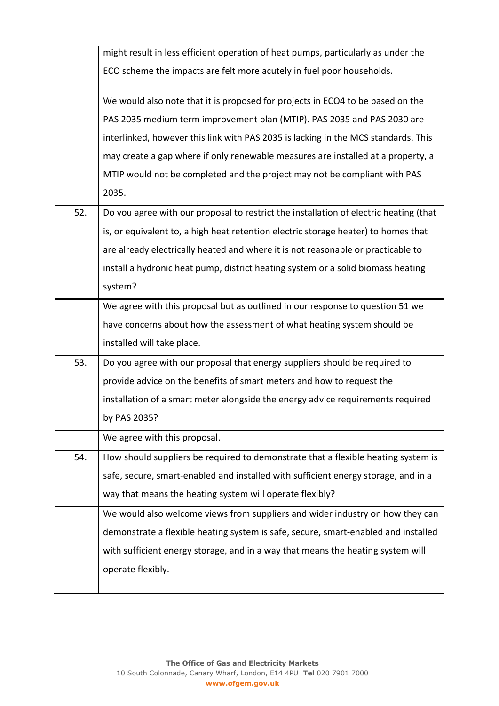|     | might result in less efficient operation of heat pumps, particularly as under the     |
|-----|---------------------------------------------------------------------------------------|
|     | ECO scheme the impacts are felt more acutely in fuel poor households.                 |
|     |                                                                                       |
|     | We would also note that it is proposed for projects in ECO4 to be based on the        |
|     | PAS 2035 medium term improvement plan (MTIP). PAS 2035 and PAS 2030 are               |
|     | interlinked, however this link with PAS 2035 is lacking in the MCS standards. This    |
|     | may create a gap where if only renewable measures are installed at a property, a      |
|     | MTIP would not be completed and the project may not be compliant with PAS             |
|     | 2035.                                                                                 |
| 52. | Do you agree with our proposal to restrict the installation of electric heating (that |
|     | is, or equivalent to, a high heat retention electric storage heater) to homes that    |
|     | are already electrically heated and where it is not reasonable or practicable to      |
|     | install a hydronic heat pump, district heating system or a solid biomass heating      |
|     | system?                                                                               |
|     | We agree with this proposal but as outlined in our response to question 51 we         |
|     | have concerns about how the assessment of what heating system should be               |
|     | installed will take place.                                                            |
| 53. | Do you agree with our proposal that energy suppliers should be required to            |
|     | provide advice on the benefits of smart meters and how to request the                 |
|     | installation of a smart meter alongside the energy advice requirements required       |
|     | by PAS 2035?                                                                          |
|     | We agree with this proposal.                                                          |
| 54. | How should suppliers be required to demonstrate that a flexible heating system is     |
|     | safe, secure, smart-enabled and installed with sufficient energy storage, and in a    |
|     | way that means the heating system will operate flexibly?                              |
|     | We would also welcome views from suppliers and wider industry on how they can         |
|     | demonstrate a flexible heating system is safe, secure, smart-enabled and installed    |
|     | with sufficient energy storage, and in a way that means the heating system will       |
|     | operate flexibly.                                                                     |
|     |                                                                                       |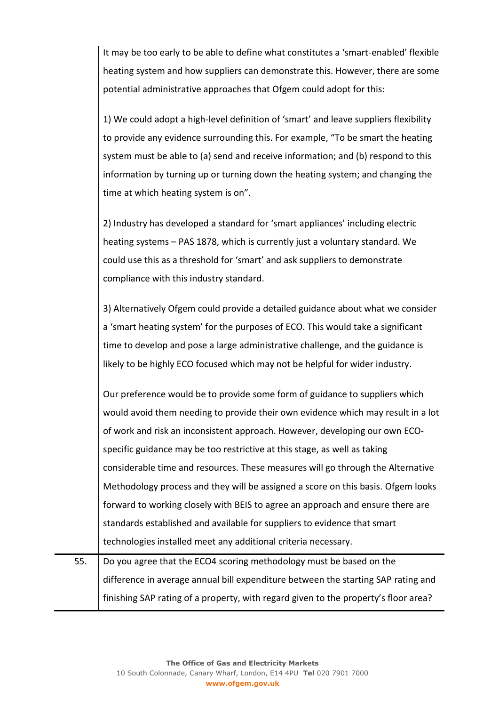It may be too early to be able to define what constitutes a 'smart-enabled' flexible heating system and how suppliers can demonstrate this. However, there are some potential administrative approaches that Ofgem could adopt for this:

1) We could adopt a high-level definition of 'smart' and leave suppliers flexibility to provide any evidence surrounding this. For example, "To be smart the heating system must be able to (a) send and receive information; and (b) respond to this information by turning up or turning down the heating system; and changing the time at which heating system is on".

2) Industry has developed a standard for 'smart appliances' including electric heating systems – PAS 1878, which is currently just a voluntary standard. We could use this as a threshold for 'smart' and ask suppliers to demonstrate compliance with this industry standard.

3) Alternatively Ofgem could provide a detailed guidance about what we consider a 'smart heating system' for the purposes of ECO. This would take a significant time to develop and pose a large administrative challenge, and the guidance is likely to be highly ECO focused which may not be helpful for wider industry.

Our preference would be to provide some form of guidance to suppliers which would avoid them needing to provide their own evidence which may result in a lot of work and risk an inconsistent approach. However, developing our own ECOspecific guidance may be too restrictive at this stage, as well as taking considerable time and resources. These measures will go through the Alternative Methodology process and they will be assigned a score on this basis. Ofgem looks forward to working closely with BEIS to agree an approach and ensure there are standards established and available for suppliers to evidence that smart technologies installed meet any additional criteria necessary.

55. Do you agree that the ECO4 scoring methodology must be based on the difference in average annual bill expenditure between the starting SAP rating and finishing SAP rating of a property, with regard given to the property's floor area?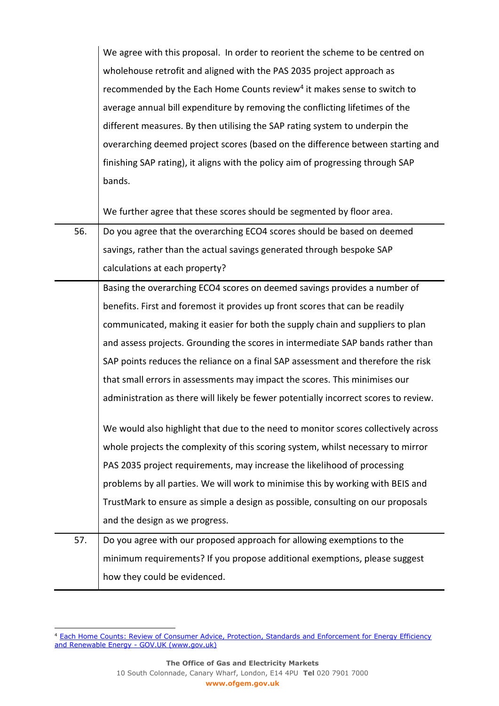| We agree with this proposal. In order to reorient the scheme to be centred on       |
|-------------------------------------------------------------------------------------|
| wholehouse retrofit and aligned with the PAS 2035 project approach as               |
| recommended by the Each Home Counts review <sup>4</sup> it makes sense to switch to |
| average annual bill expenditure by removing the conflicting lifetimes of the        |
| different measures. By then utilising the SAP rating system to underpin the         |
| overarching deemed project scores (based on the difference between starting and     |
| finishing SAP rating), it aligns with the policy aim of progressing through SAP     |
| bands.                                                                              |

We further agree that these scores should be segmented by floor area.

| 56. | Do you agree that the overarching ECO4 scores should be based on deemed              |
|-----|--------------------------------------------------------------------------------------|
|     | savings, rather than the actual savings generated through bespoke SAP                |
|     | calculations at each property?                                                       |
|     | Basing the overarching ECO4 scores on deemed savings provides a number of            |
|     | benefits. First and foremost it provides up front scores that can be readily         |
|     | communicated, making it easier for both the supply chain and suppliers to plan       |
|     | and assess projects. Grounding the scores in intermediate SAP bands rather than      |
|     | SAP points reduces the reliance on a final SAP assessment and therefore the risk     |
|     | that small errors in assessments may impact the scores. This minimises our           |
|     | administration as there will likely be fewer potentially incorrect scores to review. |
|     | We would also highlight that due to the need to monitor scores collectively across   |
|     | whole projects the complexity of this scoring system, whilst necessary to mirror     |
|     | PAS 2035 project requirements, may increase the likelihood of processing             |
|     | problems by all parties. We will work to minimise this by working with BEIS and      |
|     | TrustMark to ensure as simple a design as possible, consulting on our proposals      |
|     | and the design as we progress.                                                       |
| 57. | Do you agree with our proposed approach for allowing exemptions to the               |
|     | minimum requirements? If you propose additional exemptions, please suggest           |
|     | how they could be evidenced.                                                         |

<sup>&</sup>lt;sup>4</sup> Each Home Counts: Review of Consumer Advice, Protection, Standards and Enforcement for Energy Efficiency [and Renewable Energy -](https://www.gov.uk/government/publications/each-home-counts-review-of-consumer-advice-protection-standards-and-enforcement-for-energy-efficiency-and-renewable-energy) GOV.UK (www.gov.uk)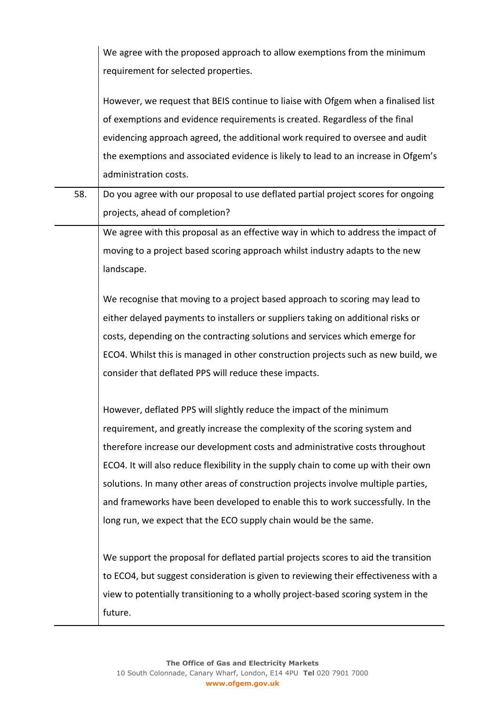|     | We agree with the proposed approach to allow exemptions from the minimum<br>requirement for selected properties.                                                 |
|-----|------------------------------------------------------------------------------------------------------------------------------------------------------------------|
|     | However, we request that BEIS continue to liaise with Ofgem when a finalised list<br>of exemptions and evidence requirements is created. Regardless of the final |
|     | evidencing approach agreed, the additional work required to oversee and audit                                                                                    |
|     | the exemptions and associated evidence is likely to lead to an increase in Ofgem's                                                                               |
|     | administration costs.                                                                                                                                            |
| 58. | Do you agree with our proposal to use deflated partial project scores for ongoing                                                                                |
|     | projects, ahead of completion?                                                                                                                                   |
|     | We agree with this proposal as an effective way in which to address the impact of                                                                                |
|     | moving to a project based scoring approach whilst industry adapts to the new                                                                                     |
|     | landscape.                                                                                                                                                       |
|     |                                                                                                                                                                  |
|     | We recognise that moving to a project based approach to scoring may lead to                                                                                      |
|     | either delayed payments to installers or suppliers taking on additional risks or                                                                                 |
|     | costs, depending on the contracting solutions and services which emerge for                                                                                      |
|     | ECO4. Whilst this is managed in other construction projects such as new build, we                                                                                |
|     | consider that deflated PPS will reduce these impacts.                                                                                                            |
|     | However, deflated PPS will slightly reduce the impact of the minimum                                                                                             |
|     | requirement, and greatly increase the complexity of the scoring system and                                                                                       |
|     | therefore increase our development costs and administrative costs throughout                                                                                     |
|     | ECO4. It will also reduce flexibility in the supply chain to come up with their own                                                                              |
|     | solutions. In many other areas of construction projects involve multiple parties,                                                                                |
|     | and frameworks have been developed to enable this to work successfully. In the                                                                                   |
|     | long run, we expect that the ECO supply chain would be the same.                                                                                                 |
|     |                                                                                                                                                                  |
|     | We support the proposal for deflated partial projects scores to aid the transition                                                                               |
|     | to ECO4, but suggest consideration is given to reviewing their effectiveness with a                                                                              |
|     | view to potentially transitioning to a wholly project-based scoring system in the                                                                                |
|     | future.                                                                                                                                                          |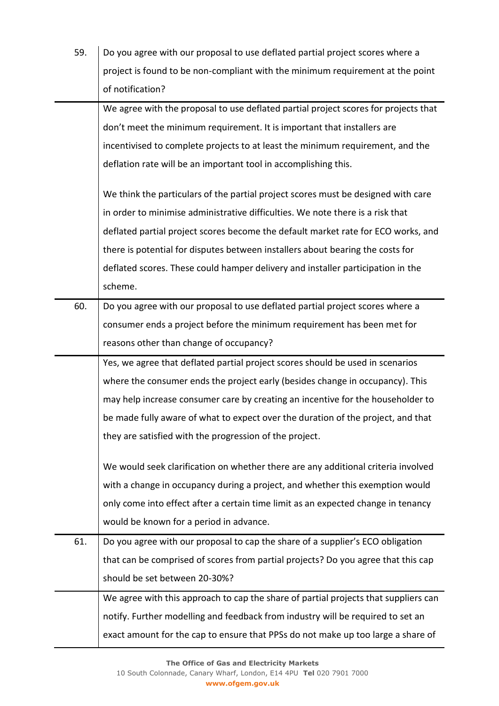| 59. | Do you agree with our proposal to use deflated partial project scores where a       |
|-----|-------------------------------------------------------------------------------------|
|     | project is found to be non-compliant with the minimum requirement at the point      |
|     | of notification?                                                                    |
|     | We agree with the proposal to use deflated partial project scores for projects that |
|     | don't meet the minimum requirement. It is important that installers are             |
|     | incentivised to complete projects to at least the minimum requirement, and the      |
|     | deflation rate will be an important tool in accomplishing this.                     |
|     | We think the particulars of the partial project scores must be designed with care   |
|     | in order to minimise administrative difficulties. We note there is a risk that      |
|     | deflated partial project scores become the default market rate for ECO works, and   |
|     | there is potential for disputes between installers about bearing the costs for      |
|     | deflated scores. These could hamper delivery and installer participation in the     |
|     | scheme.                                                                             |
| 60. | Do you agree with our proposal to use deflated partial project scores where a       |
|     | consumer ends a project before the minimum requirement has been met for             |
|     | reasons other than change of occupancy?                                             |
|     | Yes, we agree that deflated partial project scores should be used in scenarios      |
|     | where the consumer ends the project early (besides change in occupancy). This       |
|     | may help increase consumer care by creating an incentive for the householder to     |
|     | be made fully aware of what to expect over the duration of the project, and that    |
|     | they are satisfied with the progression of the project.                             |
|     | We would seek clarification on whether there are any additional criteria involved   |
|     | with a change in occupancy during a project, and whether this exemption would       |
|     | only come into effect after a certain time limit as an expected change in tenancy   |
|     | would be known for a period in advance.                                             |
| 61. | Do you agree with our proposal to cap the share of a supplier's ECO obligation      |
|     | that can be comprised of scores from partial projects? Do you agree that this cap   |
|     | should be set between 20-30%?                                                       |
|     | We agree with this approach to cap the share of partial projects that suppliers can |
|     | notify. Further modelling and feedback from industry will be required to set an     |
|     | exact amount for the cap to ensure that PPSs do not make up too large a share of    |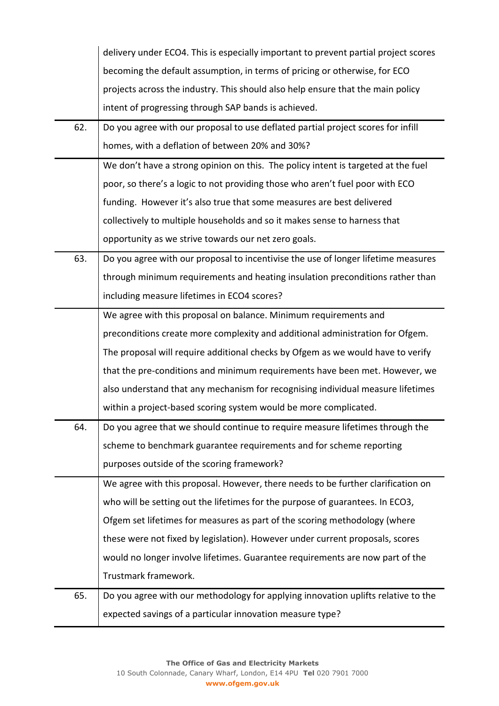|     | delivery under ECO4. This is especially important to prevent partial project scores |
|-----|-------------------------------------------------------------------------------------|
|     | becoming the default assumption, in terms of pricing or otherwise, for ECO          |
|     | projects across the industry. This should also help ensure that the main policy     |
|     | intent of progressing through SAP bands is achieved.                                |
| 62. | Do you agree with our proposal to use deflated partial project scores for infill    |
|     | homes, with a deflation of between 20% and 30%?                                     |
|     | We don't have a strong opinion on this. The policy intent is targeted at the fuel   |
|     | poor, so there's a logic to not providing those who aren't fuel poor with ECO       |
|     | funding. However it's also true that some measures are best delivered               |
|     | collectively to multiple households and so it makes sense to harness that           |
|     | opportunity as we strive towards our net zero goals.                                |
| 63. | Do you agree with our proposal to incentivise the use of longer lifetime measures   |
|     | through minimum requirements and heating insulation preconditions rather than       |
|     | including measure lifetimes in ECO4 scores?                                         |
|     | We agree with this proposal on balance. Minimum requirements and                    |
|     | preconditions create more complexity and additional administration for Ofgem.       |
|     | The proposal will require additional checks by Ofgem as we would have to verify     |
|     | that the pre-conditions and minimum requirements have been met. However, we         |
|     | also understand that any mechanism for recognising individual measure lifetimes     |
|     | within a project-based scoring system would be more complicated.                    |
| 64. | Do you agree that we should continue to require measure lifetimes through the       |
|     | scheme to benchmark guarantee requirements and for scheme reporting                 |
|     | purposes outside of the scoring framework?                                          |
|     | We agree with this proposal. However, there needs to be further clarification on    |
|     | who will be setting out the lifetimes for the purpose of guarantees. In ECO3,       |
|     | Ofgem set lifetimes for measures as part of the scoring methodology (where          |
|     | these were not fixed by legislation). However under current proposals, scores       |
|     | would no longer involve lifetimes. Guarantee requirements are now part of the       |
|     | Trustmark framework.                                                                |
| 65. | Do you agree with our methodology for applying innovation uplifts relative to the   |
|     | expected savings of a particular innovation measure type?                           |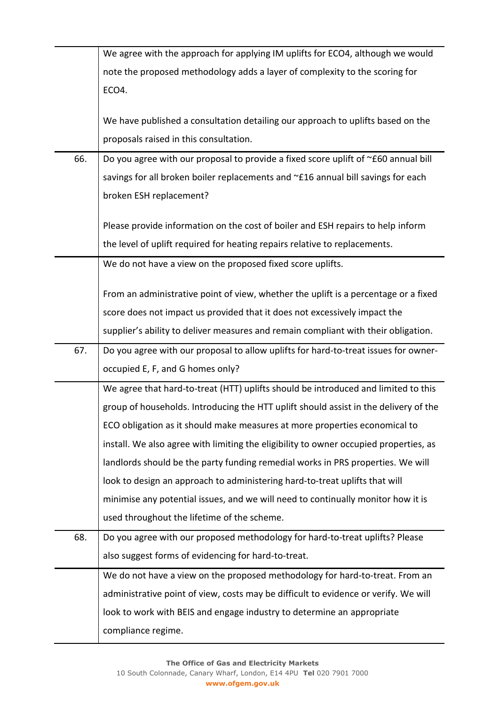|     | We agree with the approach for applying IM uplifts for ECO4, although we would        |
|-----|---------------------------------------------------------------------------------------|
|     | note the proposed methodology adds a layer of complexity to the scoring for           |
|     | ECO4.                                                                                 |
|     |                                                                                       |
|     | We have published a consultation detailing our approach to uplifts based on the       |
|     | proposals raised in this consultation.                                                |
| 66. | Do you agree with our proposal to provide a fixed score uplift of ~£60 annual bill    |
|     | savings for all broken boiler replacements and ~£16 annual bill savings for each      |
|     | broken ESH replacement?                                                               |
|     |                                                                                       |
|     | Please provide information on the cost of boiler and ESH repairs to help inform       |
|     | the level of uplift required for heating repairs relative to replacements.            |
|     | We do not have a view on the proposed fixed score uplifts.                            |
|     | From an administrative point of view, whether the uplift is a percentage or a fixed   |
|     | score does not impact us provided that it does not excessively impact the             |
|     | supplier's ability to deliver measures and remain compliant with their obligation.    |
|     |                                                                                       |
|     |                                                                                       |
| 67. | Do you agree with our proposal to allow uplifts for hard-to-treat issues for owner-   |
|     | occupied E, F, and G homes only?                                                      |
|     | We agree that hard-to-treat (HTT) uplifts should be introduced and limited to this    |
|     | group of households. Introducing the HTT uplift should assist in the delivery of the  |
|     | ECO obligation as it should make measures at more properties economical to            |
|     | install. We also agree with limiting the eligibility to owner occupied properties, as |
|     | landlords should be the party funding remedial works in PRS properties. We will       |
|     | look to design an approach to administering hard-to-treat uplifts that will           |
|     | minimise any potential issues, and we will need to continually monitor how it is      |
|     | used throughout the lifetime of the scheme.                                           |
| 68. | Do you agree with our proposed methodology for hard-to-treat uplifts? Please          |
|     | also suggest forms of evidencing for hard-to-treat.                                   |
|     | We do not have a view on the proposed methodology for hard-to-treat. From an          |
|     | administrative point of view, costs may be difficult to evidence or verify. We will   |
|     | look to work with BEIS and engage industry to determine an appropriate                |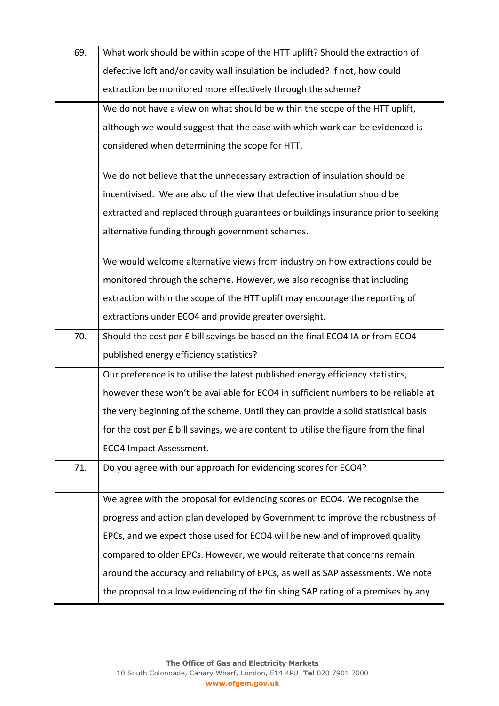| 69. | What work should be within scope of the HTT uplift? Should the extraction of         |
|-----|--------------------------------------------------------------------------------------|
|     | defective loft and/or cavity wall insulation be included? If not, how could          |
|     | extraction be monitored more effectively through the scheme?                         |
|     | We do not have a view on what should be within the scope of the HTT uplift,          |
|     | although we would suggest that the ease with which work can be evidenced is          |
|     | considered when determining the scope for HTT.                                       |
|     | We do not believe that the unnecessary extraction of insulation should be            |
|     | incentivised. We are also of the view that defective insulation should be            |
|     | extracted and replaced through guarantees or buildings insurance prior to seeking    |
|     | alternative funding through government schemes.                                      |
|     | We would welcome alternative views from industry on how extractions could be         |
|     | monitored through the scheme. However, we also recognise that including              |
|     | extraction within the scope of the HTT uplift may encourage the reporting of         |
|     | extractions under ECO4 and provide greater oversight.                                |
| 70. | Should the cost per £ bill savings be based on the final ECO4 IA or from ECO4        |
|     | published energy efficiency statistics?                                              |
|     | Our preference is to utilise the latest published energy efficiency statistics,      |
|     | however these won't be available for ECO4 in sufficient numbers to be reliable at    |
|     | the very beginning of the scheme. Until they can provide a solid statistical basis   |
|     | for the cost per £ bill savings, we are content to utilise the figure from the final |
|     | ECO4 Impact Assessment.                                                              |
| 71. | Do you agree with our approach for evidencing scores for ECO4?                       |
|     | We agree with the proposal for evidencing scores on ECO4. We recognise the           |
|     | progress and action plan developed by Government to improve the robustness of        |
|     | EPCs, and we expect those used for ECO4 will be new and of improved quality          |
|     | compared to older EPCs. However, we would reiterate that concerns remain             |
|     | around the accuracy and reliability of EPCs, as well as SAP assessments. We note     |
|     | the proposal to allow evidencing of the finishing SAP rating of a premises by any    |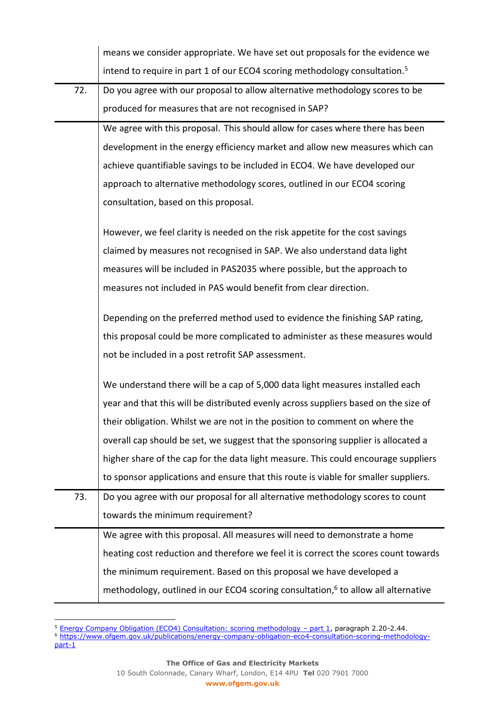|     | means we consider appropriate. We have set out proposals for the evidence we                  |
|-----|-----------------------------------------------------------------------------------------------|
|     | intend to require in part 1 of our ECO4 scoring methodology consultation. <sup>5</sup>        |
| 72. | Do you agree with our proposal to allow alternative methodology scores to be                  |
|     | produced for measures that are not recognised in SAP?                                         |
|     | We agree with this proposal. This should allow for cases where there has been                 |
|     | development in the energy efficiency market and allow new measures which can                  |
|     | achieve quantifiable savings to be included in ECO4. We have developed our                    |
|     | approach to alternative methodology scores, outlined in our ECO4 scoring                      |
|     | consultation, based on this proposal.                                                         |
|     | However, we feel clarity is needed on the risk appetite for the cost savings                  |
|     | claimed by measures not recognised in SAP. We also understand data light                      |
|     | measures will be included in PAS2035 where possible, but the approach to                      |
|     | measures not included in PAS would benefit from clear direction.                              |
|     | Depending on the preferred method used to evidence the finishing SAP rating,                  |
|     | this proposal could be more complicated to administer as these measures would                 |
|     | not be included in a post retrofit SAP assessment.                                            |
|     | We understand there will be a cap of 5,000 data light measures installed each                 |
|     | year and that this will be distributed evenly across suppliers based on the size of           |
|     | their obligation. Whilst we are not in the position to comment on where the                   |
|     | overall cap should be set, we suggest that the sponsoring supplier is allocated a             |
|     | higher share of the cap for the data light measure. This could encourage suppliers            |
|     | to sponsor applications and ensure that this route is viable for smaller suppliers.           |
| 73. | Do you agree with our proposal for all alternative methodology scores to count                |
|     | towards the minimum requirement?                                                              |
|     | We agree with this proposal. All measures will need to demonstrate a home                     |
|     | heating cost reduction and therefore we feel it is correct the scores count towards           |
|     | the minimum requirement. Based on this proposal we have developed a                           |
|     | methodology, outlined in our ECO4 scoring consultation, <sup>6</sup> to allow all alternative |

<sup>&</sup>lt;sup>5</sup> [Energy Company Obligation \(ECO4\) Consultation: scoring methodology](https://www.ofgem.gov.uk/publications/energy-company-obligation-eco4-consultation-scoring-methodology-part-1) – part 1, paragraph 2.20-2.44.

<sup>6</sup> [https://www.ofgem.gov.uk/publications/energy-company-obligation-eco4-consultation-scoring-methodology-](https://www.ofgem.gov.uk/publications/energy-company-obligation-eco4-consultation-scoring-methodology-part-1)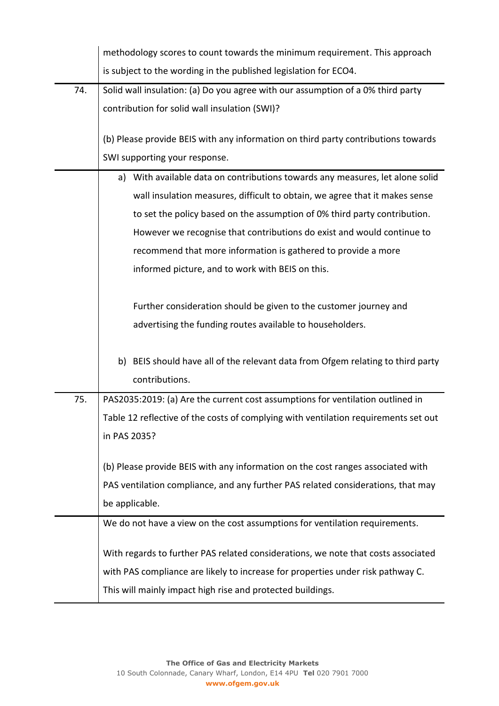|     | methodology scores to count towards the minimum requirement. This approach          |
|-----|-------------------------------------------------------------------------------------|
|     | is subject to the wording in the published legislation for ECO4.                    |
| 74. | Solid wall insulation: (a) Do you agree with our assumption of a 0% third party     |
|     | contribution for solid wall insulation (SWI)?                                       |
|     | (b) Please provide BEIS with any information on third party contributions towards   |
|     | SWI supporting your response.                                                       |
|     | a) With available data on contributions towards any measures, let alone solid       |
|     | wall insulation measures, difficult to obtain, we agree that it makes sense         |
|     | to set the policy based on the assumption of 0% third party contribution.           |
|     | However we recognise that contributions do exist and would continue to              |
|     | recommend that more information is gathered to provide a more                       |
|     | informed picture, and to work with BEIS on this.                                    |
|     |                                                                                     |
|     | Further consideration should be given to the customer journey and                   |
|     | advertising the funding routes available to householders.                           |
|     |                                                                                     |
|     | b) BEIS should have all of the relevant data from Ofgem relating to third party     |
|     | contributions.                                                                      |
| 75. | PAS2035:2019: (a) Are the current cost assumptions for ventilation outlined in      |
|     | Table 12 reflective of the costs of complying with ventilation requirements set out |
|     | in PAS 2035?                                                                        |
|     | (b) Please provide BEIS with any information on the cost ranges associated with     |
|     | PAS ventilation compliance, and any further PAS related considerations, that may    |
|     | be applicable.                                                                      |
|     | We do not have a view on the cost assumptions for ventilation requirements.         |
|     |                                                                                     |
|     | With regards to further PAS related considerations, we note that costs associated   |
|     | with PAS compliance are likely to increase for properties under risk pathway C.     |
|     | This will mainly impact high rise and protected buildings.                          |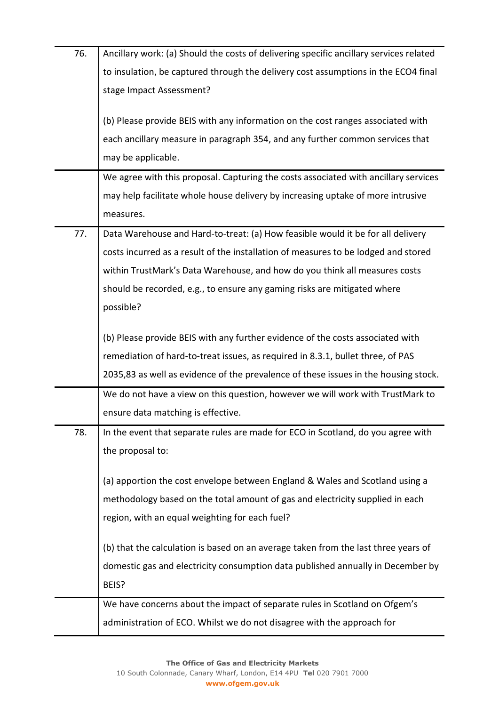| 76. | Ancillary work: (a) Should the costs of delivering specific ancillary services related |
|-----|----------------------------------------------------------------------------------------|
|     | to insulation, be captured through the delivery cost assumptions in the ECO4 final     |
|     | stage Impact Assessment?                                                               |
|     |                                                                                        |
|     | (b) Please provide BEIS with any information on the cost ranges associated with        |
|     | each ancillary measure in paragraph 354, and any further common services that          |
|     | may be applicable.                                                                     |
|     | We agree with this proposal. Capturing the costs associated with ancillary services    |
|     | may help facilitate whole house delivery by increasing uptake of more intrusive        |
|     | measures.                                                                              |
| 77. | Data Warehouse and Hard-to-treat: (a) How feasible would it be for all delivery        |
|     | costs incurred as a result of the installation of measures to be lodged and stored     |
|     | within TrustMark's Data Warehouse, and how do you think all measures costs             |
|     | should be recorded, e.g., to ensure any gaming risks are mitigated where               |
|     | possible?                                                                              |
|     |                                                                                        |
|     | (b) Please provide BEIS with any further evidence of the costs associated with         |
|     | remediation of hard-to-treat issues, as required in 8.3.1, bullet three, of PAS        |
|     | 2035,83 as well as evidence of the prevalence of these issues in the housing stock.    |
|     | We do not have a view on this question, however we will work with TrustMark to         |
|     | ensure data matching is effective.                                                     |
| 78. | In the event that separate rules are made for ECO in Scotland, do you agree with       |
|     | the proposal to:                                                                       |
|     | (a) apportion the cost envelope between England & Wales and Scotland using a           |
|     | methodology based on the total amount of gas and electricity supplied in each          |
|     |                                                                                        |
|     | region, with an equal weighting for each fuel?                                         |
|     | (b) that the calculation is based on an average taken from the last three years of     |
|     | domestic gas and electricity consumption data published annually in December by        |
|     | BEIS?                                                                                  |
|     | We have concerns about the impact of separate rules in Scotland on Ofgem's             |
|     | administration of ECO. Whilst we do not disagree with the approach for                 |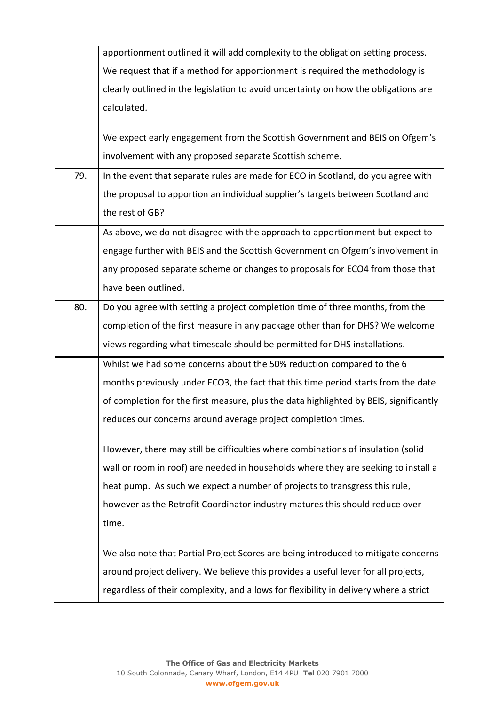|     | apportionment outlined it will add complexity to the obligation setting process.      |
|-----|---------------------------------------------------------------------------------------|
|     | We request that if a method for apportionment is required the methodology is          |
|     | clearly outlined in the legislation to avoid uncertainty on how the obligations are   |
|     | calculated.                                                                           |
|     |                                                                                       |
|     | We expect early engagement from the Scottish Government and BEIS on Ofgem's           |
|     | involvement with any proposed separate Scottish scheme.                               |
| 79. | In the event that separate rules are made for ECO in Scotland, do you agree with      |
|     | the proposal to apportion an individual supplier's targets between Scotland and       |
|     | the rest of GB?                                                                       |
|     | As above, we do not disagree with the approach to apportionment but expect to         |
|     | engage further with BEIS and the Scottish Government on Ofgem's involvement in        |
|     | any proposed separate scheme or changes to proposals for ECO4 from those that         |
|     | have been outlined.                                                                   |
| 80. | Do you agree with setting a project completion time of three months, from the         |
|     | completion of the first measure in any package other than for DHS? We welcome         |
|     | views regarding what timescale should be permitted for DHS installations.             |
|     | Whilst we had some concerns about the 50% reduction compared to the 6                 |
|     | months previously under ECO3, the fact that this time period starts from the date     |
|     | of completion for the first measure, plus the data highlighted by BEIS, significantly |
|     | reduces our concerns around average project completion times.                         |
|     | However, there may still be difficulties where combinations of insulation (solid      |
|     | wall or room in roof) are needed in households where they are seeking to install a    |
|     | heat pump. As such we expect a number of projects to transgress this rule,            |
|     | however as the Retrofit Coordinator industry matures this should reduce over          |
|     | time.                                                                                 |
|     | We also note that Partial Project Scores are being introduced to mitigate concerns    |
|     | around project delivery. We believe this provides a useful lever for all projects,    |
|     | regardless of their complexity, and allows for flexibility in delivery where a strict |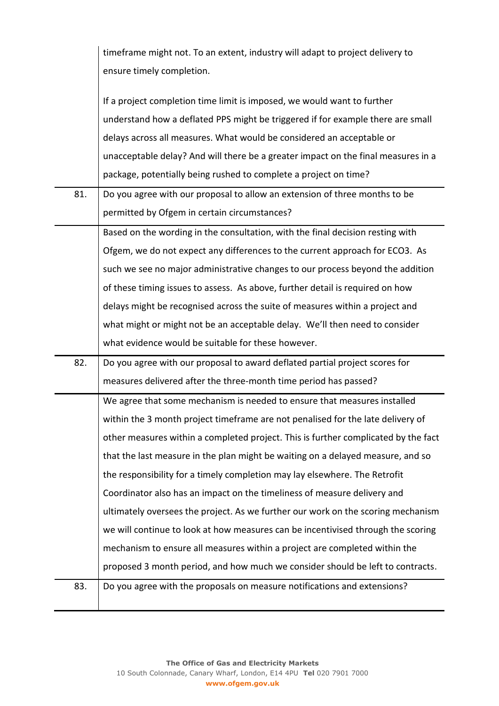|     | timeframe might not. To an extent, industry will adapt to project delivery to      |
|-----|------------------------------------------------------------------------------------|
|     | ensure timely completion.                                                          |
|     |                                                                                    |
|     | If a project completion time limit is imposed, we would want to further            |
|     | understand how a deflated PPS might be triggered if for example there are small    |
|     | delays across all measures. What would be considered an acceptable or              |
|     | unacceptable delay? And will there be a greater impact on the final measures in a  |
|     | package, potentially being rushed to complete a project on time?                   |
| 81. | Do you agree with our proposal to allow an extension of three months to be         |
|     | permitted by Ofgem in certain circumstances?                                       |
|     | Based on the wording in the consultation, with the final decision resting with     |
|     | Ofgem, we do not expect any differences to the current approach for ECO3. As       |
|     | such we see no major administrative changes to our process beyond the addition     |
|     | of these timing issues to assess. As above, further detail is required on how      |
|     | delays might be recognised across the suite of measures within a project and       |
|     | what might or might not be an acceptable delay. We'll then need to consider        |
|     | what evidence would be suitable for these however.                                 |
| 82. | Do you agree with our proposal to award deflated partial project scores for        |
|     | measures delivered after the three-month time period has passed?                   |
|     | We agree that some mechanism is needed to ensure that measures installed           |
|     |                                                                                    |
|     | within the 3 month project timeframe are not penalised for the late delivery of    |
|     | other measures within a completed project. This is further complicated by the fact |
|     | that the last measure in the plan might be waiting on a delayed measure, and so    |
|     | the responsibility for a timely completion may lay elsewhere. The Retrofit         |
|     | Coordinator also has an impact on the timeliness of measure delivery and           |
|     | ultimately oversees the project. As we further our work on the scoring mechanism   |
|     | we will continue to look at how measures can be incentivised through the scoring   |
|     | mechanism to ensure all measures within a project are completed within the         |
|     | proposed 3 month period, and how much we consider should be left to contracts.     |
| 83. | Do you agree with the proposals on measure notifications and extensions?           |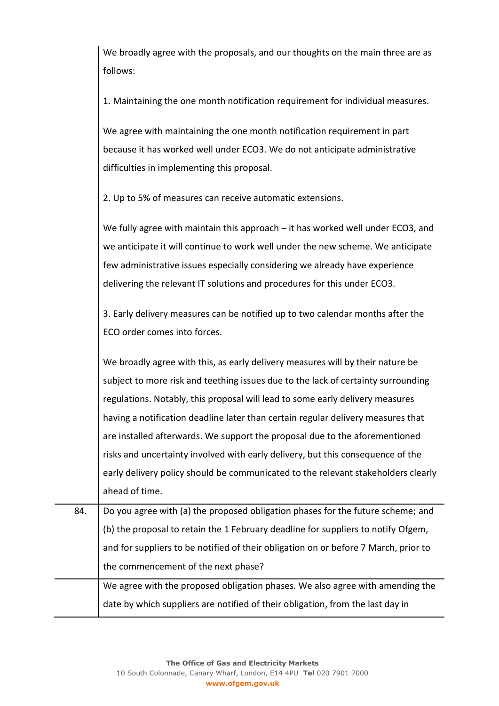We broadly agree with the proposals, and our thoughts on the main three are as follows:

1. Maintaining the one month notification requirement for individual measures.

We agree with maintaining the one month notification requirement in part because it has worked well under ECO3. We do not anticipate administrative difficulties in implementing this proposal.

2. Up to 5% of measures can receive automatic extensions.

We fully agree with maintain this approach – it has worked well under ECO3, and we anticipate it will continue to work well under the new scheme. We anticipate few administrative issues especially considering we already have experience delivering the relevant IT solutions and procedures for this under ECO3.

3. Early delivery measures can be notified up to two calendar months after the ECO order comes into forces.

We broadly agree with this, as early delivery measures will by their nature be subject to more risk and teething issues due to the lack of certainty surrounding regulations. Notably, this proposal will lead to some early delivery measures having a notification deadline later than certain regular delivery measures that are installed afterwards. We support the proposal due to the aforementioned risks and uncertainty involved with early delivery, but this consequence of the early delivery policy should be communicated to the relevant stakeholders clearly ahead of time.

84. Do you agree with (a) the proposed obligation phases for the future scheme; and (b) the proposal to retain the 1 February deadline for suppliers to notify Ofgem, and for suppliers to be notified of their obligation on or before 7 March, prior to the commencement of the next phase?

We agree with the proposed obligation phases. We also agree with amending the date by which suppliers are notified of their obligation, from the last day in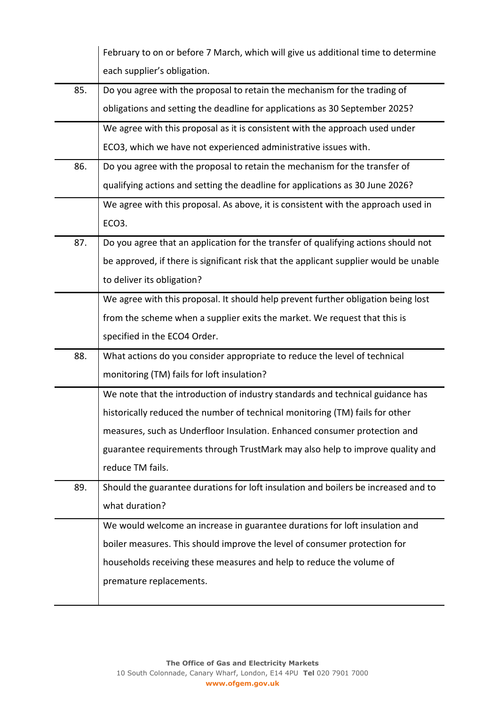|     | February to on or before 7 March, which will give us additional time to determine     |
|-----|---------------------------------------------------------------------------------------|
|     | each supplier's obligation.                                                           |
| 85. | Do you agree with the proposal to retain the mechanism for the trading of             |
|     | obligations and setting the deadline for applications as 30 September 2025?           |
|     | We agree with this proposal as it is consistent with the approach used under          |
|     | ECO3, which we have not experienced administrative issues with.                       |
| 86. | Do you agree with the proposal to retain the mechanism for the transfer of            |
|     | qualifying actions and setting the deadline for applications as 30 June 2026?         |
|     | We agree with this proposal. As above, it is consistent with the approach used in     |
|     | ECO <sub>3</sub> .                                                                    |
| 87. | Do you agree that an application for the transfer of qualifying actions should not    |
|     | be approved, if there is significant risk that the applicant supplier would be unable |
|     | to deliver its obligation?                                                            |
|     | We agree with this proposal. It should help prevent further obligation being lost     |
|     | from the scheme when a supplier exits the market. We request that this is             |
|     | specified in the ECO4 Order.                                                          |
| 88. | What actions do you consider appropriate to reduce the level of technical             |
|     | monitoring (TM) fails for loft insulation?                                            |
|     | We note that the introduction of industry standards and technical guidance has        |
|     | historically reduced the number of technical monitoring (TM) fails for other          |
|     | measures, such as Underfloor Insulation. Enhanced consumer protection and             |
|     | guarantee requirements through TrustMark may also help to improve quality and         |
|     | reduce TM fails.                                                                      |
| 89. | Should the guarantee durations for loft insulation and boilers be increased and to    |
|     | what duration?                                                                        |
|     | We would welcome an increase in guarantee durations for loft insulation and           |
|     | boiler measures. This should improve the level of consumer protection for             |
|     | households receiving these measures and help to reduce the volume of                  |
|     | premature replacements.                                                               |
|     |                                                                                       |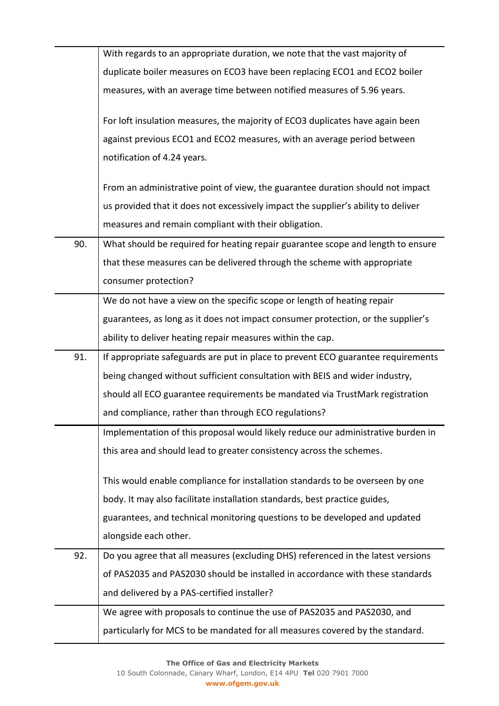|     | With regards to an appropriate duration, we note that the vast majority of        |
|-----|-----------------------------------------------------------------------------------|
|     | duplicate boiler measures on ECO3 have been replacing ECO1 and ECO2 boiler        |
|     | measures, with an average time between notified measures of 5.96 years.           |
|     | For loft insulation measures, the majority of ECO3 duplicates have again been     |
|     | against previous ECO1 and ECO2 measures, with an average period between           |
|     | notification of 4.24 years.                                                       |
|     | From an administrative point of view, the guarantee duration should not impact    |
|     | us provided that it does not excessively impact the supplier's ability to deliver |
|     | measures and remain compliant with their obligation.                              |
| 90. | What should be required for heating repair guarantee scope and length to ensure   |
|     | that these measures can be delivered through the scheme with appropriate          |
|     | consumer protection?                                                              |
|     | We do not have a view on the specific scope or length of heating repair           |
|     | guarantees, as long as it does not impact consumer protection, or the supplier's  |
|     | ability to deliver heating repair measures within the cap.                        |
|     |                                                                                   |
| 91. | If appropriate safeguards are put in place to prevent ECO guarantee requirements  |
|     | being changed without sufficient consultation with BEIS and wider industry,       |
|     | should all ECO guarantee requirements be mandated via TrustMark registration      |
|     | and compliance, rather than through ECO regulations?                              |
|     | Implementation of this proposal would likely reduce our administrative burden in  |
|     | this area and should lead to greater consistency across the schemes.              |
|     | This would enable compliance for installation standards to be overseen by one     |
|     | body. It may also facilitate installation standards, best practice guides,        |
|     | guarantees, and technical monitoring questions to be developed and updated        |
|     | alongside each other.                                                             |
| 92. | Do you agree that all measures (excluding DHS) referenced in the latest versions  |
|     | of PAS2035 and PAS2030 should be installed in accordance with these standards     |
|     | and delivered by a PAS-certified installer?                                       |
|     | We agree with proposals to continue the use of PAS2035 and PAS2030, and           |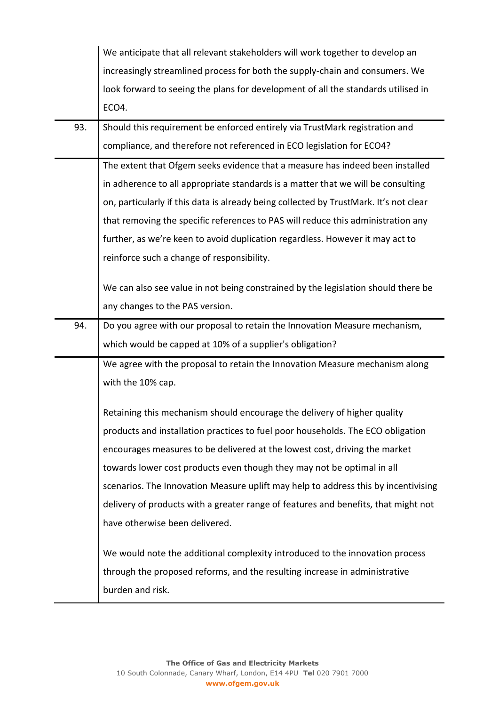|     | We anticipate that all relevant stakeholders will work together to develop an                  |
|-----|------------------------------------------------------------------------------------------------|
|     | increasingly streamlined process for both the supply-chain and consumers. We                   |
|     | look forward to seeing the plans for development of all the standards utilised in              |
|     | ECO4.                                                                                          |
| 93. | Should this requirement be enforced entirely via TrustMark registration and                    |
|     | compliance, and therefore not referenced in ECO legislation for ECO4?                          |
|     | The extent that Ofgem seeks evidence that a measure has indeed been installed                  |
|     | in adherence to all appropriate standards is a matter that we will be consulting               |
|     | on, particularly if this data is already being collected by TrustMark. It's not clear          |
|     | that removing the specific references to PAS will reduce this administration any               |
|     | further, as we're keen to avoid duplication regardless. However it may act to                  |
|     | reinforce such a change of responsibility.                                                     |
|     |                                                                                                |
|     | We can also see value in not being constrained by the legislation should there be              |
|     | any changes to the PAS version.                                                                |
| 94. | Do you agree with our proposal to retain the Innovation Measure mechanism,                     |
|     | which would be capped at 10% of a supplier's obligation?                                       |
|     | We agree with the proposal to retain the Innovation Measure mechanism along                    |
|     | with the 10% cap.                                                                              |
|     | Retaining this mechanism should encourage the delivery of higher quality                       |
|     | products and installation practices to fuel poor households. The ECO obligation                |
|     | encourages measures to be delivered at the lowest cost, driving the market                     |
|     | towards lower cost products even though they may not be optimal in all                         |
|     | scenarios. The Innovation Measure uplift may help to address this by incentivising             |
|     | delivery of products with a greater range of features and benefits, that might not             |
|     | have otherwise been delivered.                                                                 |
|     | We would note the additional complexity introduced to the innovation process                   |
|     |                                                                                                |
|     |                                                                                                |
|     | through the proposed reforms, and the resulting increase in administrative<br>burden and risk. |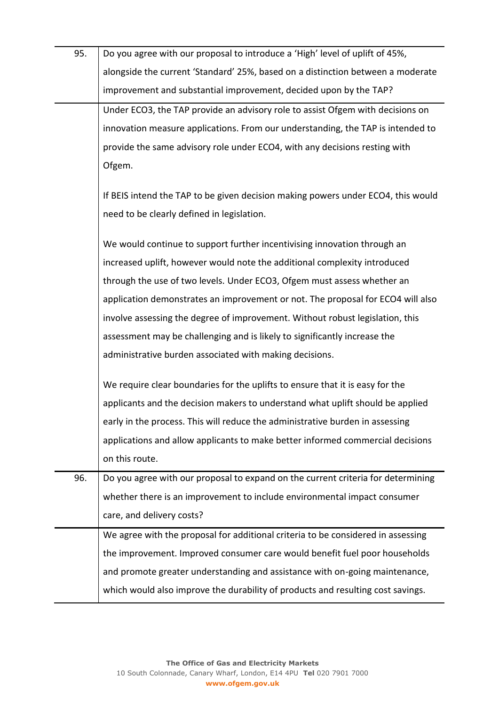| 95. | Do you agree with our proposal to introduce a 'High' level of uplift of 45%,     |
|-----|----------------------------------------------------------------------------------|
|     | alongside the current 'Standard' 25%, based on a distinction between a moderate  |
|     | improvement and substantial improvement, decided upon by the TAP?                |
|     | Under ECO3, the TAP provide an advisory role to assist Ofgem with decisions on   |
|     | innovation measure applications. From our understanding, the TAP is intended to  |
|     | provide the same advisory role under ECO4, with any decisions resting with       |
|     | Ofgem.                                                                           |
|     | If BEIS intend the TAP to be given decision making powers under ECO4, this would |
|     | need to be clearly defined in legislation.                                       |
|     | We would continue to support further incentivising innovation through an         |
|     | increased uplift, however would note the additional complexity introduced        |
|     | through the use of two levels. Under ECO3, Ofgem must assess whether an          |
|     | application demonstrates an improvement or not. The proposal for ECO4 will also  |
|     | involve assessing the degree of improvement. Without robust legislation, this    |
|     | assessment may be challenging and is likely to significantly increase the        |
|     | administrative burden associated with making decisions.                          |
|     | We require clear boundaries for the uplifts to ensure that it is easy for the    |
|     | applicants and the decision makers to understand what uplift should be applied   |
|     | early in the process. This will reduce the administrative burden in assessing    |
|     | applications and allow applicants to make better informed commercial decisions   |
|     | on this route.                                                                   |
| 96. | Do you agree with our proposal to expand on the current criteria for determining |
|     | whether there is an improvement to include environmental impact consumer         |
|     | care, and delivery costs?                                                        |
|     | We agree with the proposal for additional criteria to be considered in assessing |
|     | the improvement. Improved consumer care would benefit fuel poor households       |
|     | and promote greater understanding and assistance with on-going maintenance,      |
|     | which would also improve the durability of products and resulting cost savings.  |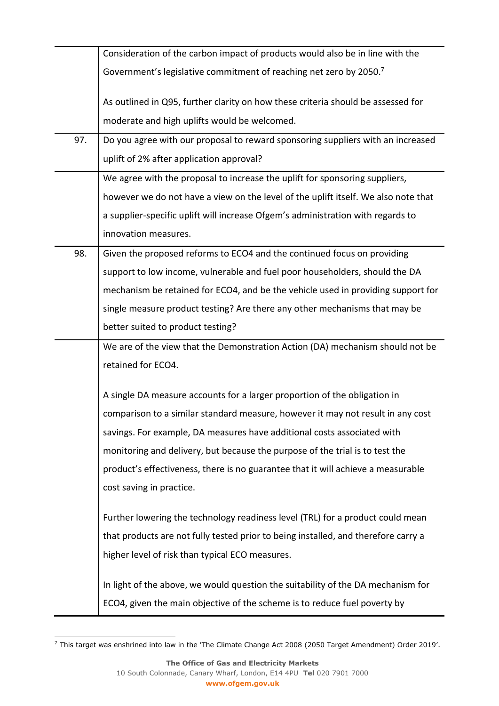|     | Consideration of the carbon impact of products would also be in line with the      |
|-----|------------------------------------------------------------------------------------|
|     | Government's legislative commitment of reaching net zero by 2050.7                 |
|     | As outlined in Q95, further clarity on how these criteria should be assessed for   |
|     | moderate and high uplifts would be welcomed.                                       |
| 97. | Do you agree with our proposal to reward sponsoring suppliers with an increased    |
|     | uplift of 2% after application approval?                                           |
|     | We agree with the proposal to increase the uplift for sponsoring suppliers,        |
|     | however we do not have a view on the level of the uplift itself. We also note that |
|     | a supplier-specific uplift will increase Ofgem's administration with regards to    |
|     | innovation measures.                                                               |
| 98. | Given the proposed reforms to ECO4 and the continued focus on providing            |
|     | support to low income, vulnerable and fuel poor householders, should the DA        |
|     | mechanism be retained for ECO4, and be the vehicle used in providing support for   |
|     | single measure product testing? Are there any other mechanisms that may be         |
|     | better suited to product testing?                                                  |
|     | We are of the view that the Demonstration Action (DA) mechanism should not be      |
|     | retained for ECO4.                                                                 |
|     | A single DA measure accounts for a larger proportion of the obligation in          |
|     | comparison to a similar standard measure, however it may not result in any cost    |
|     | savings. For example, DA measures have additional costs associated with            |
|     | monitoring and delivery, but because the purpose of the trial is to test the       |
|     | product's effectiveness, there is no guarantee that it will achieve a measurable   |
|     | cost saving in practice.                                                           |
|     | Further lowering the technology readiness level (TRL) for a product could mean     |
|     | that products are not fully tested prior to being installed, and therefore carry a |
|     | higher level of risk than typical ECO measures.                                    |
|     | In light of the above, we would question the suitability of the DA mechanism for   |
|     | ECO4, given the main objective of the scheme is to reduce fuel poverty by          |

<sup>7</sup> This target was enshrined into law in the 'The Climate Change Act 2008 (2050 Target Amendment) Order 2019'.